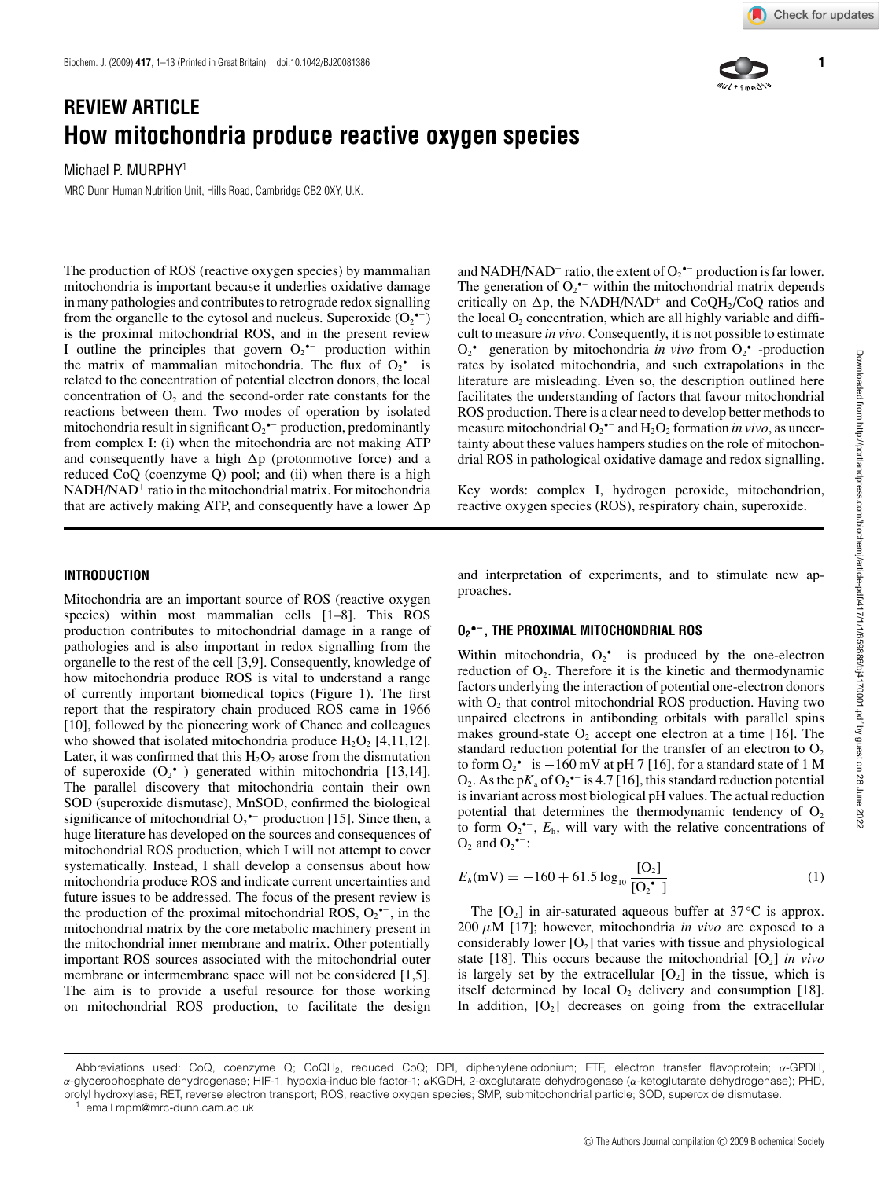# **REVIEW ARTICLE How mitochondria produce reactive oxygen species**

Michael P. MURPHY<sup>1</sup>

MRC Dunn Human Nutrition Unit, Hills Road, Cambridge CB2 0XY, U.K.

The production of ROS (reactive oxygen species) by mammalian mitochondria is important because it underlies oxidative damage in many pathologies and contributes to retrograde redox signalling from the organelle to the cytosol and nucleus. Superoxide  $(O_2^{\bullet -})$ is the proximal mitochondrial ROS, and in the present review I outline the principles that govern  $O_2^{\bullet-}$  production within the matrix of mammalian mitochondria. The flux of  $O_2$ <sup> $\text{-}$ </sup> is related to the concentration of potential electron donors, the local concentration of  $O_2$  and the second-order rate constants for the reactions between them. Two modes of operation by isolated mitochondria result in significant  $O_2$ <sup>•–</sup> production, predominantly from complex I: (i) when the mitochondria are not making ATP and consequently have a high  $\Delta p$  (protonmotive force) and a reduced CoQ (coenzyme Q) pool; and (ii) when there is a high NADH/NAD<sup>+</sup> ratio in the mitochondrial matrix. For mitochondria that are actively making ATP, and consequently have a lower  $\Delta p$ 

## and NADH/NAD<sup>+</sup> ratio, the extent of  $O_2^{\bullet-}$  production is far lower. The generation of  $O_2$ <sup>•–</sup> within the mitochondrial matrix depends critically on  $\Delta p$ , the NADH/NAD<sup>+</sup> and CoQH<sub>2</sub>/CoQ ratios and the local  $O_2$  concentration, which are all highly variable and difficult to measure *in vivo*. Consequently, it is not possible to estimate  $O_2^{\bullet-}$  generation by mitochondria *in vivo* from  $O_2^{\bullet-}$ -production rates by isolated mitochondria, and such extrapolations in the literature are misleading. Even so, the description outlined here facilitates the understanding of factors that favour mitochondrial ROS production. There is a clear need to develop better methods to measure mitochondrial  $O_2^{\bullet-}$  and  $H_2O_2$  formation *in vivo*, as uncertainty about these values hampers studies on the role of mitochondrial ROS in pathological oxidative damage and redox signalling.

Key words: complex I, hydrogen peroxide, mitochondrion, reactive oxygen species (ROS), respiratory chain, superoxide.

## **INTRODUCTION**

Mitochondria are an important source of ROS (reactive oxygen species) within most mammalian cells [1–8]. This ROS production contributes to mitochondrial damage in a range of pathologies and is also important in redox signalling from the organelle to the rest of the cell [3,9]. Consequently, knowledge of how mitochondria produce ROS is vital to understand a range of currently important biomedical topics (Figure 1). The first report that the respiratory chain produced ROS came in 1966 [10], followed by the pioneering work of Chance and colleagues who showed that isolated mitochondria produce  $H_2O_2$  [4,11,12]. Later, it was confirmed that this  $H_2O_2$  arose from the dismutation of superoxide  $(O_2^{\bullet-})$  generated within mitochondria [13,14]. The parallel discovery that mitochondria contain their own SOD (superoxide dismutase), MnSOD, confirmed the biological significance of mitochondrial  $O_2$ <sup>\*-</sup> production [15]. Since then, a huge literature has developed on the sources and consequences of mitochondrial ROS production, which I will not attempt to cover systematically. Instead, I shall develop a consensus about how mitochondria produce ROS and indicate current uncertainties and future issues to be addressed. The focus of the present review is the production of the proximal mitochondrial ROS,  $O_2^{\bullet -}$ , in the mitochondrial matrix by the core metabolic machinery present in the mitochondrial inner membrane and matrix. Other potentially important ROS sources associated with the mitochondrial outer membrane or intermembrane space will not be considered [1,5]. The aim is to provide a useful resource for those working on mitochondrial ROS production, to facilitate the design and interpretation of experiments, and to stimulate new approaches.

# **O2 •−, THE PROXIMAL MITOCHONDRIAL ROS**

Within mitochondria,  $O_2^{\bullet-}$  is produced by the one-electron reduction of  $O_2$ . Therefore it is the kinetic and thermodynamic factors underlying the interaction of potential one-electron donors with  $O<sub>2</sub>$  that control mitochondrial ROS production. Having two unpaired electrons in antibonding orbitals with parallel spins makes ground-state  $O_2$  accept one electron at a time [16]. The standard reduction potential for the transfer of an electron to  $O_2$ to form  $O_2$ <sup>•−</sup> is  $-160$  mV at pH 7 [16], for a standard state of 1 M  $O_2$ . As the p $K_a$  of  $O_2^{\bullet -}$  is 4.7 [16], this standard reduction potential is invariant across most biological pH values. The actual reduction potential that determines the thermodynamic tendency of  $O<sub>2</sub>$ to form  $O_2^{\bullet-}$ ,  $E_h$ , will vary with the relative concentrations of  $O_2$  and  $O_2$ <sup>•-</sup>:

$$
E_h(\text{mV}) = -160 + 61.5 \log_{10} \frac{[O_2]}{[O_2^{\bullet-}]}
$$
 (1)

The  $[O_2]$  in air-saturated aqueous buffer at 37 $\rm ^{\circ}C$  is approx.  $200 \mu M$  [17]; however, mitochondria *in vivo* are exposed to a considerably lower  $[O_2]$  that varies with tissue and physiological state [18]. This occurs because the mitochondrial  $[O_2]$  *in vivo* is largely set by the extracellular  $[O_2]$  in the tissue, which is itself determined by local  $O_2$  delivery and consumption [18]. In addition,  $[O_2]$  decreases on going from the extracellular





Abbreviations used: CoQ, coenzyme Q; CoQH2, reduced CoQ; DPI, diphenyleneiodonium; ETF, electron transfer flavoprotein; *α*-GPDH, *α*-glycerophosphate dehydrogenase; HIF-1, hypoxia-inducible factor-1; *α*KGDH, 2-oxoglutarate dehydrogenase (*α*-ketoglutarate dehydrogenase); PHD, prolyl hydroxylase; RET, reverse electron transport; ROS, reactive oxygen species; SMP, submitochondrial particle; SOD, superoxide dismutase.

email mpm@mrc-dunn.cam.ac.uk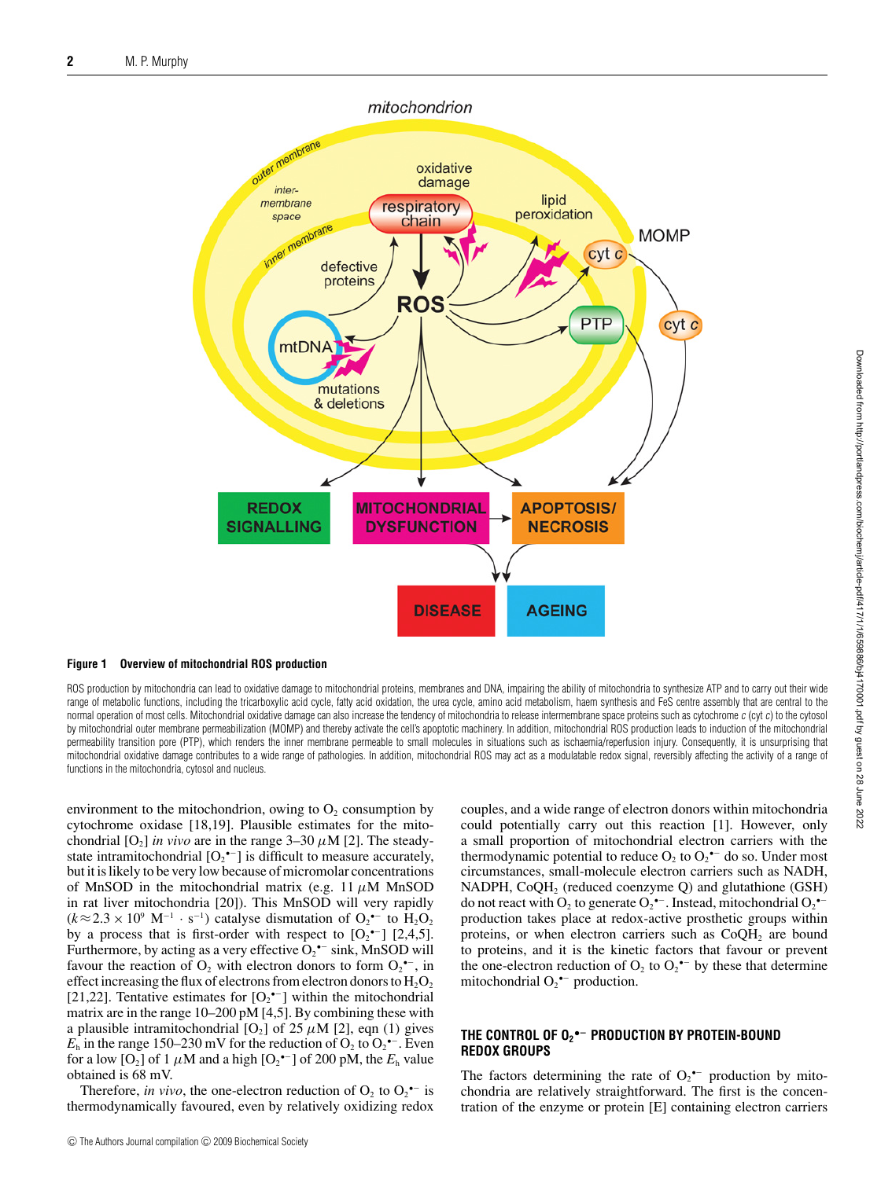



ROS production by mitochondria can lead to oxidative damage to mitochondrial proteins, membranes and DNA, impairing the ability of mitochondria to synthesize ATP and to carry out their wide range of metabolic functions, including the tricarboxylic acid cycle, fatty acid oxidation, the urea cycle, amino acid metabolism, haem synthesis and FeS centre assembly that are central to the normal operation of most cells. Mitochondrial oxidative damage can also increase the tendency of mitochondria to release intermembrane space proteins such as cytochrome c (cyt c) to the cytosol by mitochondrial outer membrane permeabilization (MOMP) and thereby activate the cell's apoptotic machinery. In addition, mitochondrial ROS production leads to induction of the mitochondrial permeability transition pore (PTP), which renders the inner membrane permeable to small molecules in situations such as ischaemia/reperfusion injury. Consequently, it is unsurprising that mitochondrial oxidative damage contributes to a wide range of pathologies. In addition, mitochondrial ROS may act as a modulatable redox signal, reversibly affecting the activity of a range of functions in the mitochondria, cytosol and nucleus.

environment to the mitochondrion, owing to  $O<sub>2</sub>$  consumption by cytochrome oxidase [18,19]. Plausible estimates for the mitochondrial  $[O_2]$  *in vivo* are in the range  $3-30 \mu M$  [2]. The steadystate intramitochondrial  $[O_2^{\bullet-}]$  is difficult to measure accurately, but it is likely to be very low because of micromolar concentrations of MnSOD in the mitochondrial matrix (e.g. 11  $\mu$ M MnSOD in rat liver mitochondria [20]). This MnSOD will very rapidly  $(k \approx 2.3 \times 10^9 \text{ M}^{-1} \cdot \text{s}^{-1})$  catalyse dismutation of  $\text{O}_2$ <sup>-</sup> to  $\text{H}_2\text{O}_2$ by a process that is first-order with respect to  $[O_2^{\bullet-}]$  [2,4,5]. Furthermore, by acting as a very effective  $O_2$ <sup>\*-</sup> sink, MnSOD will favour the reaction of  $O_2$  with electron donors to form  $O_2$ <sup>\*</sup>, in effect increasing the flux of electrons from electron donors to  $H_2O_2$ [21,22]. Tentative estimates for  $[O_2^{\bullet-}]$  within the mitochondrial matrix are in the range 10–200 pM [4,5]. By combining these with a plausible intramitochondrial  $[O_2]$  of 25  $\mu$ M [2], eqn (1) gives  $E<sub>h</sub>$  in the range 150–230 mV for the reduction of O<sub>2</sub> to O<sub>2</sub><sup> $-$ </sup>. Even for a low [O<sub>2</sub>] of 1  $\mu$ M and a high [O<sub>2</sub><sup>•–</sup>] of 200 pM, the  $E_h$  value obtained is 68 mV.

Therefore, *in vivo*, the one-electron reduction of  $O_2$  to  $O_2$ <sup>+-</sup> is thermodynamically favoured, even by relatively oxidizing redox couples, and a wide range of electron donors within mitochondria could potentially carry out this reaction [1]. However, only a small proportion of mitochondrial electron carriers with the thermodynamic potential to reduce  $O_2$  to  $O_2$ <sup>--</sup> do so. Under most circumstances, small-molecule electron carriers such as NADH, NADPH,  $CoQH<sub>2</sub>$  (reduced coenzyme Q) and glutathione (GSH) do not react with  $O_2$  to generate  $O_2$ <sup>\*-</sup>. Instead, mitochondrial  $O_2$ <sup>\*-</sup> production takes place at redox-active prosthetic groups within proteins, or when electron carriers such as  $CoQH<sub>2</sub>$  are bound to proteins, and it is the kinetic factors that favour or prevent the one-electron reduction of  $O_2$  to  $O_2$ <sup>--</sup> by these that determine mitochondrial  $O_2^{\bullet-}$  production.

## **THE CONTROL OF O2 •− PRODUCTION BY PROTEIN-BOUND REDOX GROUPS**

The factors determining the rate of  $O_2$ <sup>+-</sup> production by mitochondria are relatively straightforward. The first is the concentration of the enzyme or protein [E] containing electron carriers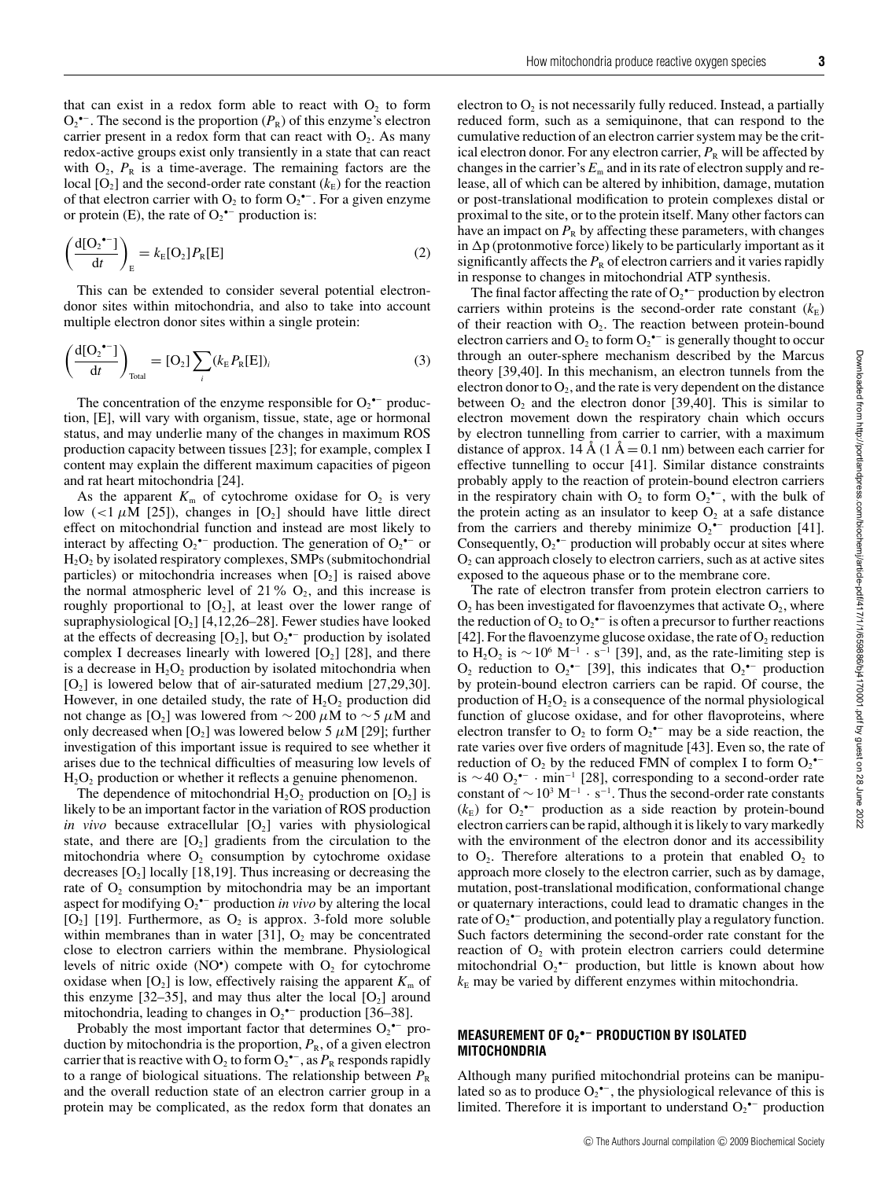that can exist in a redox form able to react with  $O<sub>2</sub>$  to form  $O_2$ <sup>•–</sup>. The second is the proportion  $(P_R)$  of this enzyme's electron carrier present in a redox form that can react with  $O_2$ . As many redox-active groups exist only transiently in a state that can react with  $O_2$ ,  $P_R$  is a time-average. The remaining factors are the local  $[O_2]$  and the second-order rate constant  $(k<sub>E</sub>)$  for the reaction of that electron carrier with  $O_2$  to form  $O_2$ <sup>\*-</sup>. For a given enzyme or protein (E), the rate of  $O_2$ <sup>•–</sup> production is:

$$
\left(\frac{d[O_2^{\bullet-}]}{dt}\right)_E = k_E[O_2]P_R[E]
$$
\n(2)

This can be extended to consider several potential electrondonor sites within mitochondria, and also to take into account multiple electron donor sites within a single protein:

$$
\left(\frac{d[O_2^{\bullet-}]}{dt}\right)_{\text{Total}} = [O_2] \sum_i (k_{\rm E} P_{\rm R}[E])_i \tag{3}
$$

The concentration of the enzyme responsible for  $O_2$ <sup>\*-</sup> production, [E], will vary with organism, tissue, state, age or hormonal status, and may underlie many of the changes in maximum ROS production capacity between tissues [23]; for example, complex I content may explain the different maximum capacities of pigeon and rat heart mitochondria [24].

As the apparent  $K_m$  of cytochrome oxidase for  $O_2$  is very low (<1  $\mu$ M [25]), changes in [O<sub>2</sub>] should have little direct effect on mitochondrial function and instead are most likely to interact by affecting  $O_2^{\bullet-}$  production. The generation of  $O_2^{\bullet-}$  or H2O2 by isolated respiratory complexes, SMPs (submitochondrial particles) or mitochondria increases when  $[O_2]$  is raised above the normal atmospheric level of 21%  $O_2$ , and this increase is roughly proportional to  $[O_2]$ , at least over the lower range of supraphysiological  $[O_2]$  [4,12,26–28]. Fewer studies have looked at the effects of decreasing  $[O_2]$ , but  $O_2$ <sup>\*-</sup> production by isolated complex I decreases linearly with lowered  $[O_2]$  [28], and there is a decrease in  $H_2O_2$  production by isolated mitochondria when  $[O_2]$  is lowered below that of air-saturated medium  $[27,29,30]$ . However, in one detailed study, the rate of  $H_2O_2$  production did not change as [O<sub>2</sub>] was lowered from  $\sim$  200  $\mu$ M to  $\sim$  5  $\mu$ M and only decreased when [O<sub>2</sub>] was lowered below 5  $\mu$ M [29]; further investigation of this important issue is required to see whether it arises due to the technical difficulties of measuring low levels of  $H_2O_2$  production or whether it reflects a genuine phenomenon.

The dependence of mitochondrial  $H_2O_2$  production on  $[O_2]$  is likely to be an important factor in the variation of ROS production *in vivo* because extracellular  $[O_2]$  varies with physiological state, and there are  $[O_2]$  gradients from the circulation to the mitochondria where  $O_2$  consumption by cytochrome oxidase decreases  $[O_2]$  locally [18,19]. Thus increasing or decreasing the rate of  $O_2$  consumption by mitochondria may be an important aspect for modifying  $O_2$ <sup>\*-</sup> production *in vivo* by altering the local  $[O_2]$  [19]. Furthermore, as  $O_2$  is approx. 3-fold more soluble within membranes than in water  $[31]$ ,  $O<sub>2</sub>$  may be concentrated close to electron carriers within the membrane. Physiological levels of nitric oxide  $(NO^{\bullet})$  compete with  $O_2$  for cytochrome oxidase when  $[O_2]$  is low, effectively raising the apparent  $K_m$  of this enzyme [32–35], and may thus alter the local  $[O_2]$  around mitochondria, leading to changes in  $O_2$ <sup>\*-</sup> production [36–38].

Probably the most important factor that determines  $O_2$ <sup>\*-</sup> production by mitochondria is the proportion,  $P_R$ , of a given electron carrier that is reactive with  $O_2$  to form  $O_2^{\bullet -}$ , as  $P_R$  responds rapidly to a range of biological situations. The relationship between  $P_R$ and the overall reduction state of an electron carrier group in a protein may be complicated, as the redox form that donates an electron to  $O<sub>2</sub>$  is not necessarily fully reduced. Instead, a partially reduced form, such as a semiquinone, that can respond to the cumulative reduction of an electron carrier system may be the critical electron donor. For any electron carrier,  $P_R$  will be affected by changes in the carrier's  $E_m$  and in its rate of electron supply and release, all of which can be altered by inhibition, damage, mutation or post-translational modification to protein complexes distal or proximal to the site, or to the protein itself. Many other factors can have an impact on  $P_R$  by affecting these parameters, with changes in  $\Delta p$  (protonmotive force) likely to be particularly important as it significantly affects the  $P_R$  of electron carriers and it varies rapidly in response to changes in mitochondrial ATP synthesis.

The final factor affecting the rate of  $O_2^{\bullet-}$  production by electron carriers within proteins is the second-order rate constant  $(k<sub>E</sub>)$ of their reaction with  $O_2$ . The reaction between protein-bound electron carriers and  $O_2$  to form  $O_2$ <sup>•–</sup> is generally thought to occur through an outer-sphere mechanism described by the Marcus theory [39,40]. In this mechanism, an electron tunnels from the electron donor to  $O_2$ , and the rate is very dependent on the distance between  $O_2$  and the electron donor [39,40]. This is similar to electron movement down the respiratory chain which occurs by electron tunnelling from carrier to carrier, with a maximum distance of approx. 14 Å (1 Å = 0.1 nm) between each carrier for effective tunnelling to occur [41]. Similar distance constraints probably apply to the reaction of protein-bound electron carriers in the respiratory chain with  $O_2$  to form  $O_2^{\bullet-}$ , with the bulk of the protein acting as an insulator to keep  $O_2$  at a safe distance from the carriers and thereby minimize  $O_2^{\bullet-}$  production [41]. Consequently,  $O_2^{\bullet-}$  production will probably occur at sites where  $O<sub>2</sub>$  can approach closely to electron carriers, such as at active sites exposed to the aqueous phase or to the membrane core.

The rate of electron transfer from protein electron carriers to  $O_2$  has been investigated for flavoenzymes that activate  $O_2$ , where the reduction of  $O_2$  to  $O_2^{\bullet-}$  is often a precursor to further reactions [42]. For the flavoenzyme glucose oxidase, the rate of  $O_2$  reduction to H<sub>2</sub>O<sub>2</sub> is  $\sim$  10<sup>6</sup> M<sup>-1</sup> · s<sup>-1</sup> [39], and, as the rate-limiting step is  $O_2$  reduction to  $O_2$ <sup>\*-</sup> [39], this indicates that  $O_2$ <sup>\*-</sup> production by protein-bound electron carriers can be rapid. Of course, the production of  $H_2O_2$  is a consequence of the normal physiological function of glucose oxidase, and for other flavoproteins, where electron transfer to  $O_2$  to form  $O_2$ <sup>\*-</sup> may be a side reaction, the rate varies over five orders of magnitude [43]. Even so, the rate of reduction of  $O_2$  by the reduced FMN of complex I to form  $O_2^{\bullet-}$ is ~40 O<sub>2</sub><sup>•−</sup> · min<sup>-1</sup> [28], corresponding to a second-order rate constant of  $\sim 10^3 \text{ M}^{-1} \cdot \text{s}^{-1}$ . Thus the second-order rate constants  $(k<sub>E</sub>)$  for  $O_2$ <sup>\*-</sup> production as a side reaction by protein-bound electron carriers can be rapid, although it is likely to vary markedly with the environment of the electron donor and its accessibility to  $O_2$ . Therefore alterations to a protein that enabled  $O_2$  to approach more closely to the electron carrier, such as by damage, mutation, post-translational modification, conformational change or quaternary interactions, could lead to dramatic changes in the rate of  $O_2$ <sup>\*-</sup> production, and potentially play a regulatory function. Such factors determining the second-order rate constant for the reaction of  $O_2$  with protein electron carriers could determine mitochondrial  $O_2^{\bullet-}$  production, but little is known about how  $k<sub>E</sub>$  may be varied by different enzymes within mitochondria.

#### **MEASUREMENT OF O2 •− PRODUCTION BY ISOLATED MITOCHONDRIA**

Although many purified mitochondrial proteins can be manipulated so as to produce  $O_2^{\bullet -}$ , the physiological relevance of this is limited. Therefore it is important to understand  $O_2$ <sup>\*-</sup> production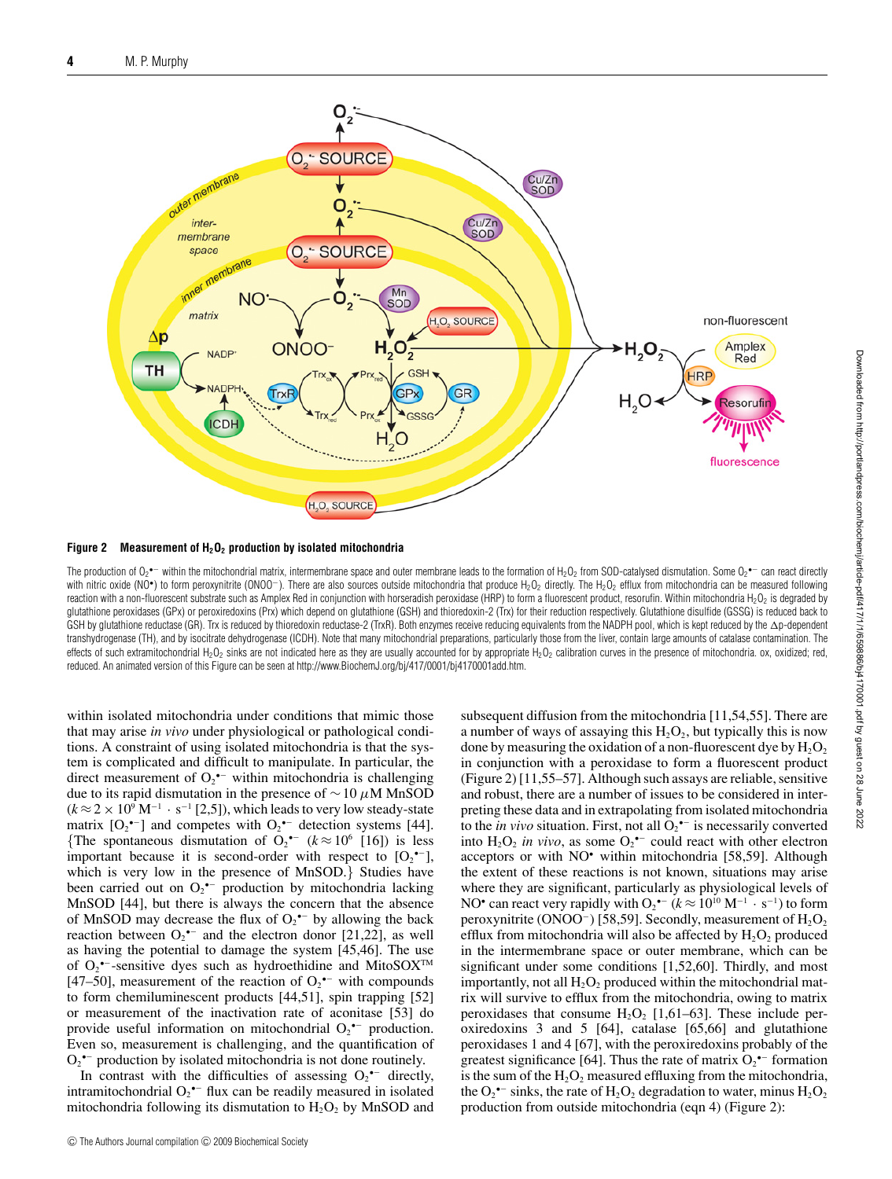

**Figure 2 Measurement of H2O2 production by isolated mitochondria**

The production of O<sub>2</sub>•− within the mitochondrial matrix, intermembrane space and outer membrane leads to the formation of H<sub>2</sub>O<sub>2</sub> from SOD-catalysed dismutation. Some O<sub>2</sub>•− can react directly with nitric oxide (NO•) to form peroxynitrite (ONOO<sup>-</sup>). There are also sources outside mitochondria that produce H<sub>2</sub>O<sub>2</sub> directly. The H<sub>2</sub>O<sub>2</sub> efflux from mitochondria can be measured following reaction with a non-fluorescent substrate such as Amplex Red in conjunction with horseradish peroxidase (HRP) to form a fluorescent product, resorufin. Within mitochondria H<sub>2</sub>O<sub>2</sub> is degraded by glutathione peroxidases (GPx) or peroxiredoxins (Prx) which depend on glutathione (GSH) and thioredoxin-2 (Trx) for their reduction respectively. Glutathione disulfide (GSSG) is reduced back to GSH by glutathione reductase (GR). Trx is reduced by thioredoxin reductase-2 (TrxR). Both enzymes receive reducing equivalents from the NADPH pool, which is kept reduced by the  $\Delta$ p-dependent transhydrogenase (TH), and by isocitrate dehydrogenase (ICDH). Note that many mitochondrial preparations, particularly those from the liver, contain large amounts of catalase contamination. The effects of such extramitochondrial H<sub>2</sub>O<sub>2</sub> sinks are not indicated here as they are usually accounted for by appropriate H<sub>2</sub>O<sub>2</sub> calibration curves in the presence of mitochondria. ox, oxidized; red, reduced. An animated version of this Figure can be seen at http://www.BiochemJ.org/bj/417/0001/bj4170001add.htm.

within isolated mitochondria under conditions that mimic those that may arise *in vivo* under physiological or pathological conditions. A constraint of using isolated mitochondria is that the system is complicated and difficult to manipulate. In particular, the direct measurement of  $O_2$ <sup>\*-</sup> within mitochondria is challenging due to its rapid dismutation in the presence of  $\sim$  10  $\mu$ M MnSOD  $(k \approx 2 \times 10^9 \text{ M}^{-1} \cdot \text{s}^{-1}$  [2,5]), which leads to very low steady-state matrix  $[O_2^{\bullet-}]$  and competes with  $O_2^{\bullet-}$  detection systems [44]. {The spontaneous dismutation of  $O_2$  ( $k \approx 10^6$  [16]) is less important because it is second-order with respect to  $[O_2^{\bullet-}]$ , which is very low in the presence of MnSOD.} Studies have been carried out on  $O_2$ <sup>\*-</sup> production by mitochondria lacking MnSOD [44], but there is always the concern that the absence of MnSOD may decrease the flux of  $O_2$ <sup>+-</sup> by allowing the back reaction between  $O_2$ <sup>\*-</sup> and the electron donor [21,22], as well as having the potential to damage the system [45,46]. The use of  $O_2$ <sup>\*-</sup>-sensitive dyes such as hydroethidine and MitoSOX<sup>TM</sup> [47–50], measurement of the reaction of  $O_2$ <sup>•–</sup> with compounds to form chemiluminescent products [44,51], spin trapping [52] or measurement of the inactivation rate of aconitase [53] do provide useful information on mitochondrial  $O_2$ <sup>+-</sup> production. Even so, measurement is challenging, and the quantification of  $O_2$ <sup>•–</sup> production by isolated mitochondria is not done routinely.

In contrast with the difficulties of assessing  $O_2$ <sup>\*-</sup> directly, intramitochondrial  $O_2$ <sup>\*-</sup> flux can be readily measured in isolated mitochondria following its dismutation to  $H_2O_2$  by MnSOD and

© The Authors Journal compilation © 2009 Biochemical Society

subsequent diffusion from the mitochondria [11,54,55]. There are a number of ways of assaying this  $H_2O_2$ , but typically this is now done by measuring the oxidation of a non-fluorescent dye by  $H_2O_2$ in conjunction with a peroxidase to form a fluorescent product (Figure 2) [11,55–57]. Although such assays are reliable, sensitive and robust, there are a number of issues to be considered in interpreting these data and in extrapolating from isolated mitochondria to the *in vivo* situation. First, not all  $O_2$ <sup> $\text{-}$ </sup> is necessarily converted into  $H_2O_2$  *in vivo*, as some  $O_2^{\bullet-}$  could react with other electron acceptors or with NO• within mitochondria [58,59]. Although the extent of these reactions is not known, situations may arise where they are significant, particularly as physiological levels of NO<sup>•</sup> can react very rapidly with  $O_2$ <sup>•–</sup>  $(k \approx 10^{10} \text{ M}^{-1} \cdot \text{s}^{-1})$  to form peroxynitrite (ONOO<sup>-</sup>) [58,59]. Secondly, measurement of  $H_2O_2$ efflux from mitochondria will also be affected by  $H_2O_2$  produced in the intermembrane space or outer membrane, which can be significant under some conditions [1,52,60]. Thirdly, and most importantly, not all  $H_2O_2$  produced within the mitochondrial matrix will survive to efflux from the mitochondria, owing to matrix peroxidases that consume  $H_2O_2$  [1,61–63]. These include peroxiredoxins 3 and 5 [64], catalase [65,66] and glutathione peroxidases 1 and 4 [67], with the peroxiredoxins probably of the greatest significance [64]. Thus the rate of matrix  $O_2^{\bullet-}$  formation is the sum of the  $H_2O_2$  measured effluxing from the mitochondria, the O<sub>2</sub><sup>•–</sup> sinks, the rate of  $H_2O_2$  degradation to water, minus  $H_2O_2$ production from outside mitochondria (eqn 4) (Figure 2):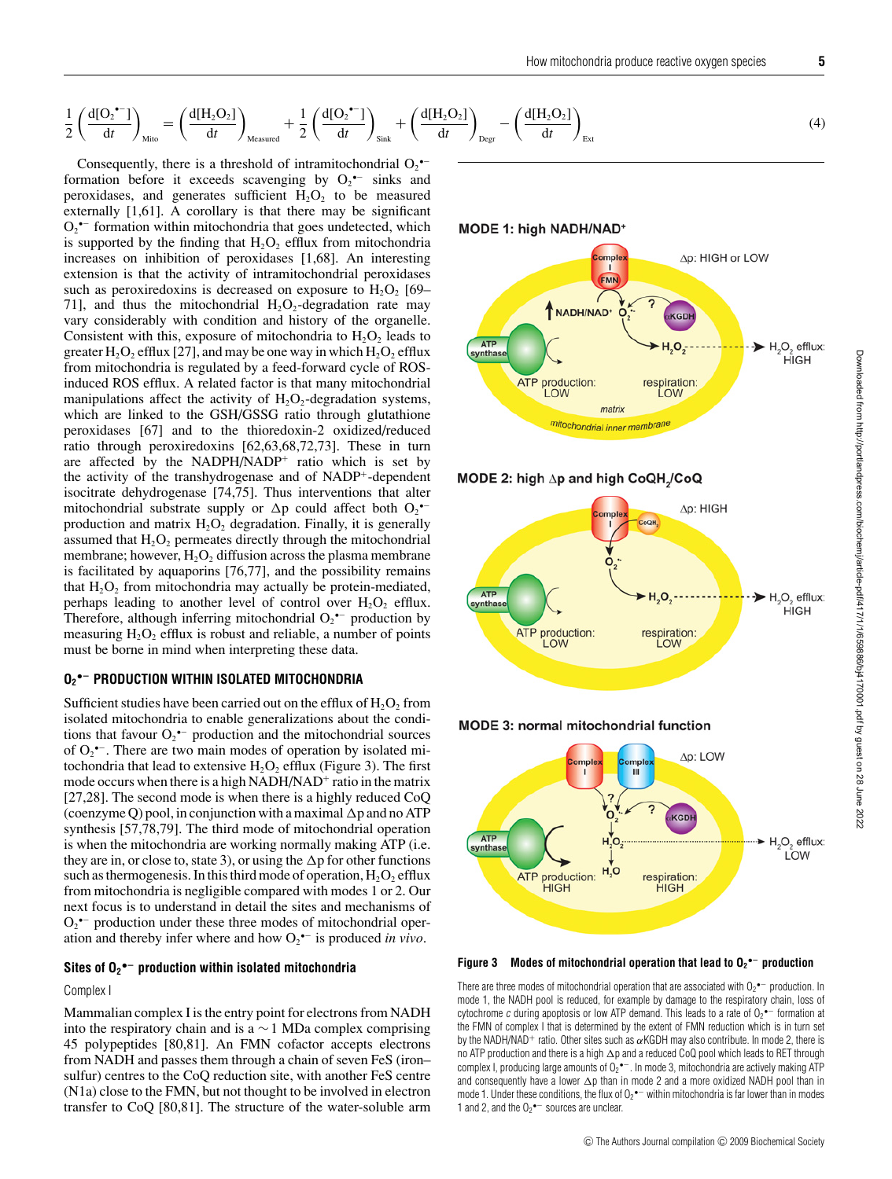$$
\frac{1}{2} \left( \frac{d[O_2^{\bullet -}] }{dt} \right)_{\text{Mito}} = \left( \frac{d[H_2 O_2]}{dt} \right)_{\text{Measured}} + \frac{1}{2} \left( \frac{d[O_2^{\bullet -}] }{dt} \right)_{\text{Sink}} + \left( \frac{d[H_2 O_2]}{dt} \right)_{\text{Degr}} - \left( \frac{d[H_2 O_2]}{dt} \right)_{\text{Ext}} \tag{4}
$$

Consequently, there is a threshold of intramitochondrial  $O_2$ <sup>\*-</sup> formation before it exceeds scavenging by  $O_2$ <sup> $\text{-}$ </sup> sinks and peroxidases, and generates sufficient  $H_2O_2$  to be measured externally [1,61]. A corollary is that there may be significant  $O_2$ <sup>•–</sup> formation within mitochondria that goes undetected, which is supported by the finding that  $H_2O_2$  efflux from mitochondria increases on inhibition of peroxidases [1,68]. An interesting extension is that the activity of intramitochondrial peroxidases such as peroxiredoxins is decreased on exposure to  $H_2O_2$  [69– 71], and thus the mitochondrial  $H_2O_2$ -degradation rate may vary considerably with condition and history of the organelle. Consistent with this, exposure of mitochondria to  $H_2O_2$  leads to greater  $H_2O_2$  efflux [27], and may be one way in which  $H_2O_2$  efflux from mitochondria is regulated by a feed-forward cycle of ROSinduced ROS efflux. A related factor is that many mitochondrial manipulations affect the activity of  $H_2O_2$ -degradation systems, which are linked to the GSH/GSSG ratio through glutathione peroxidases [67] and to the thioredoxin-2 oxidized/reduced ratio through peroxiredoxins [62,63,68,72,73]. These in turn are affected by the NADPH/NADP<sup>+</sup> ratio which is set by the activity of the transhydrogenase and of NADP+-dependent isocitrate dehydrogenase [74,75]. Thus interventions that alter mitochondrial substrate supply or  $\Delta p$  could affect both  $O_2$ <sup>\*-</sup> production and matrix  $H_2O_2$  degradation. Finally, it is generally assumed that  $H_2O_2$  permeates directly through the mitochondrial membrane; however,  $H_2O_2$  diffusion across the plasma membrane is facilitated by aquaporins [76,77], and the possibility remains that  $H_2O_2$  from mitochondria may actually be protein-mediated, perhaps leading to another level of control over  $H_2O_2$  efflux. Therefore, although inferring mitochondrial  $O_2$ <sup>\*-</sup> production by measuring  $H_2O_2$  efflux is robust and reliable, a number of points must be borne in mind when interpreting these data.

# **O2 •− PRODUCTION WITHIN ISOLATED MITOCHONDRIA**

Sufficient studies have been carried out on the efflux of  $H_2O_2$  from isolated mitochondria to enable generalizations about the conditions that favour  $O_2$ <sup> $\bullet$ </sup> production and the mitochondrial sources of  $O_2$ <sup> $\text{-}$ </sup>. There are two main modes of operation by isolated mitochondria that lead to extensive  $H_2O_2$  efflux (Figure 3). The first mode occurs when there is a high NADH/NAD<sup>+</sup> ratio in the matrix [27,28]. The second mode is when there is a highly reduced CoQ (coenzyme Q) pool, in conjunction with a maximal  $\Delta p$  and no ATP synthesis [57,78,79]. The third mode of mitochondrial operation is when the mitochondria are working normally making ATP (i.e. they are in, or close to, state 3), or using the  $\Delta p$  for other functions such as thermogenesis. In this third mode of operation,  $H_2O_2$  efflux from mitochondria is negligible compared with modes 1 or 2. Our next focus is to understand in detail the sites and mechanisms of  $O_2$ <sup>•–</sup> production under these three modes of mitochondrial operation and thereby infer where and how O2 •− is produced *in vivo*.

## **Sites of O2 •− production within isolated mitochondria**

Complex I

Mammalian complex I is the entry point for electrons from NADH into the respiratory chain and is a  $\sim$  1 MDa complex comprising 45 polypeptides [80,81]. An FMN cofactor accepts electrons from NADH and passes them through a chain of seven FeS (iron– sulfur) centres to the CoQ reduction site, with another FeS centre (N1a) close to the FMN, but not thought to be involved in electron transfer to CoQ [80,81]. The structure of the water-soluble arm MODE 1: high NADH/NAD\*







**MODE 3: normal mitochondrial function** 



**Figure 3 Modes of mitochondrial operation that lead to O2 •− production**

There are three modes of mitochondrial operation that are associated with  $O_2$ <sup>•–</sup> production. In mode 1, the NADH pool is reduced, for example by damage to the respiratory chain, loss of cytochrome c during apoptosis or low ATP demand. This leads to a rate of  $O_2$ <sup>\*-</sup> formation at the FMN of complex I that is determined by the extent of FMN reduction which is in turn set by the NADH/NAD+ ratio. Other sites such as  $\alpha$ KGDH may also contribute. In mode 2, there is no ATP production and there is a high  $\Delta$ p and a reduced CoQ pool which leads to RET through complex I, producing large amounts of  $O_2$ • $^-$ . In mode 3, mitochondria are actively making ATP and consequently have a lower  $\Delta p$  than in mode 2 and a more oxidized NADH pool than in mode 1. Under these conditions, the flux of O<sub>2</sub>  $-$  within mitochondria is far lower than in modes 1 and 2, and the  $O_2$ <sup>•-</sup> sources are unclear.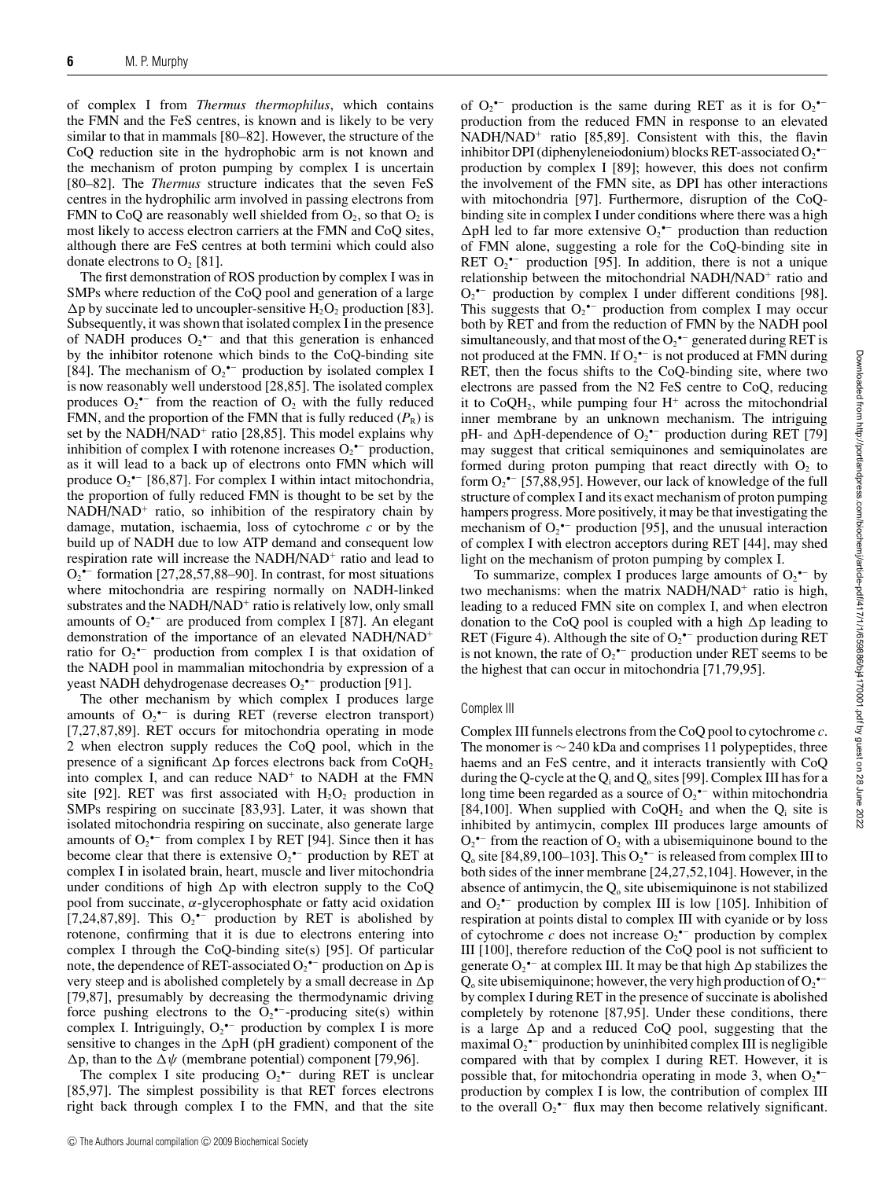of complex I from *Thermus thermophilus*, which contains the FMN and the FeS centres, is known and is likely to be very similar to that in mammals [80–82]. However, the structure of the CoQ reduction site in the hydrophobic arm is not known and the mechanism of proton pumping by complex I is uncertain [80–82]. The *Thermus* structure indicates that the seven FeS centres in the hydrophilic arm involved in passing electrons from FMN to CoQ are reasonably well shielded from  $O_2$ , so that  $O_2$  is most likely to access electron carriers at the FMN and CoQ sites, although there are FeS centres at both termini which could also donate electrons to  $O_2$  [81].

The first demonstration of ROS production by complex I was in SMPs where reduction of the CoQ pool and generation of a large  $\Delta p$  by succinate led to uncoupler-sensitive H<sub>2</sub>O<sub>2</sub> production [83]. Subsequently, it was shown that isolated complex I in the presence of NADH produces  $O_2$ <sup>\*-</sup> and that this generation is enhanced by the inhibitor rotenone which binds to the CoQ-binding site [84]. The mechanism of  $O_2^{\bullet-}$  production by isolated complex I is now reasonably well understood [28,85]. The isolated complex produces  $O_2$ <sup>•–</sup> from the reaction of  $O_2$  with the fully reduced FMN, and the proportion of the FMN that is fully reduced  $(P_R)$  is set by the NADH/NAD<sup>+</sup> ratio [28,85]. This model explains why inhibition of complex I with rotenone increases  $O_2^{\bullet-}$  production, as it will lead to a back up of electrons onto FMN which will produce  $O_2^{\bullet-}$  [86,87]. For complex I within intact mitochondria, the proportion of fully reduced FMN is thought to be set by the NADH/NAD<sup>+</sup> ratio, so inhibition of the respiratory chain by damage, mutation, ischaemia, loss of cytochrome *c* or by the build up of NADH due to low ATP demand and consequent low respiration rate will increase the NADH/NAD<sup>+</sup> ratio and lead to  $O_2$ <sup>•–</sup> formation [27,28,57,88–90]. In contrast, for most situations where mitochondria are respiring normally on NADH-linked substrates and the NADH/NAD<sup>+</sup> ratio is relatively low, only small amounts of  $O_2$ <sup>•–</sup> are produced from complex I [87]. An elegant demonstration of the importance of an elevated NADH/NAD<sup>+</sup> ratio for  $O_2$ <sup>•–</sup> production from complex I is that oxidation of the NADH pool in mammalian mitochondria by expression of a yeast NADH dehydrogenase decreases  $O_2$ <sup>•–</sup> production [91].

The other mechanism by which complex I produces large amounts of  $O_2$ <sup>\*-</sup> is during RET (reverse electron transport) [7,27,87,89]. RET occurs for mitochondria operating in mode 2 when electron supply reduces the CoQ pool, which in the presence of a significant  $\Delta p$  forces electrons back from CoQH<sub>2</sub> into complex I, and can reduce  $NAD<sup>+</sup>$  to  $NADH$  at the FMN site [92]. RET was first associated with  $H_2O_2$  production in SMPs respiring on succinate [83,93]. Later, it was shown that isolated mitochondria respiring on succinate, also generate large amounts of  $O_2$ <sup>\*-</sup> from complex I by RET [94]. Since then it has become clear that there is extensive  $O_2^{\bullet-}$  production by RET at complex I in isolated brain, heart, muscle and liver mitochondria under conditions of high  $\Delta p$  with electron supply to the CoQ pool from succinate,  $\alpha$ -glycerophosphate or fatty acid oxidation [7,24,87,89]. This  $O_2^{\bullet-}$  production by RET is abolished by rotenone, confirming that it is due to electrons entering into complex I through the CoQ-binding site(s) [95]. Of particular note, the dependence of RET-associated  $O_2$ <sup>-–</sup> production on  $\Delta p$  is very steep and is abolished completely by a small decrease in  $\Delta p$ [79,87], presumably by decreasing the thermodynamic driving force pushing electrons to the  $O_2^{\bullet-}$ -producing site(s) within complex I. Intriguingly,  $O_2^{\bullet-}$  production by complex I is more sensitive to changes in the  $\Delta$ pH (pH gradient) component of the  $\Delta p$ , than to the  $\Delta \psi$  (membrane potential) component [79,96].

The complex I site producing  $O_2$ <sup>\*-</sup> during RET is unclear [85,97]. The simplest possibility is that RET forces electrons right back through complex I to the FMN, and that the site of  $O_2^{\bullet-}$  production is the same during RET as it is for  $O_2^{\bullet-}$ production from the reduced FMN in response to an elevated NADH/NAD<sup>+</sup> ratio [85,89]. Consistent with this, the flavin inhibitor DPI (diphenyleneiodonium) blocks RET-associated  $O_2^{\bullet-}$ production by complex I [89]; however, this does not confirm the involvement of the FMN site, as DPI has other interactions with mitochondria [97]. Furthermore, disruption of the CoQbinding site in complex I under conditions where there was a high  $\Delta$ pH led to far more extensive O<sub>2</sub> $\sim$  production than reduction of FMN alone, suggesting a role for the CoQ-binding site in RET  $O_2$ <sup>\*-</sup> production [95]. In addition, there is not a unique relationship between the mitochondrial NADH/NAD<sup>+</sup> ratio and  $O_2$  •− production by complex I under different conditions [98]. This suggests that  $O_2^{\bullet-}$  production from complex I may occur both by RET and from the reduction of FMN by the NADH pool simultaneously, and that most of the  $O_2^{\bullet-}$  generated during RET is not produced at the FMN. If  $O_2$ <sup> $-$ </sup> is not produced at FMN during RET, then the focus shifts to the CoQ-binding site, where two electrons are passed from the N2 FeS centre to CoQ, reducing it to  $CoQH<sub>2</sub>$ , while pumping four  $H<sup>+</sup>$  across the mitochondrial inner membrane by an unknown mechanism. The intriguing pH- and  $\Delta$ pH-dependence of  $O_2$ <sup>+-</sup> production during RET [79] may suggest that critical semiquinones and semiquinolates are formed during proton pumping that react directly with  $O<sub>2</sub>$  to form  $O_2$ <sup>•–</sup> [57,88,95]. However, our lack of knowledge of the full structure of complex I and its exact mechanism of proton pumping hampers progress. More positively, it may be that investigating the mechanism of  $O_2^{\bullet-}$  production [95], and the unusual interaction of complex I with electron acceptors during RET [44], may shed light on the mechanism of proton pumping by complex I.

To summarize, complex I produces large amounts of  $O_2$ <sup> $\text{-}$ </sup> by two mechanisms: when the matrix NADH/NAD<sup>+</sup> ratio is high, leading to a reduced FMN site on complex I, and when electron donation to the CoQ pool is coupled with a high  $\Delta p$  leading to RET (Figure 4). Although the site of  $O_2^{\bullet-}$  production during RET is not known, the rate of  $O_2^{\bullet-}$  production under RET seems to be the highest that can occur in mitochondria [71,79,95].

## Complex III

Complex III funnels electrons from the CoQ pool to cytochrome *c*. The monomer is  $\sim$  240 kDa and comprises 11 polypeptides, three haems and an FeS centre, and it interacts transiently with CoQ during the Q-cycle at the  $Q_i$  and  $Q_o$  sites [99]. Complex III has for a long time been regarded as a source of  $O_2$ <sup>•–</sup> within mitochondria [84,100]. When supplied with  $CoQH_2$  and when the  $Q_i$  site is inhibited by antimycin, complex III produces large amounts of  $O_2$ <sup>•–</sup> from the reaction of  $O_2$  with a ubisemiquinone bound to the Q<sub>o</sub> site [84,89,100–103]. This  $O_2$ <sup>\*-</sup> is released from complex III to both sides of the inner membrane [24,27,52,104]. However, in the absence of antimycin, the  $Q_0$  site ubisemiquinone is not stabilized and  $O_2$ <sup>\*-</sup> production by complex III is low [105]. Inhibition of respiration at points distal to complex III with cyanide or by loss of cytochrome  $c$  does not increase  $O_2$ <sup>\*-</sup> production by complex III [100], therefore reduction of the CoQ pool is not sufficient to generate  $O_2^{\bullet-}$  at complex III. It may be that high  $\Delta p$  stabilizes the  $Q_0$  site ubisemiquinone; however, the very high production of  $O_2^{\bullet-}$ by complex I during RET in the presence of succinate is abolished completely by rotenone [87,95]. Under these conditions, there is a large  $\Delta p$  and a reduced CoQ pool, suggesting that the maximal  $O_2^{\bullet-}$  production by uninhibited complex III is negligible compared with that by complex I during RET. However, it is possible that, for mitochondria operating in mode 3, when  $O_2^{\bullet-}$ production by complex I is low, the contribution of complex III to the overall  $O_2$ <sup>+-</sup> flux may then become relatively significant.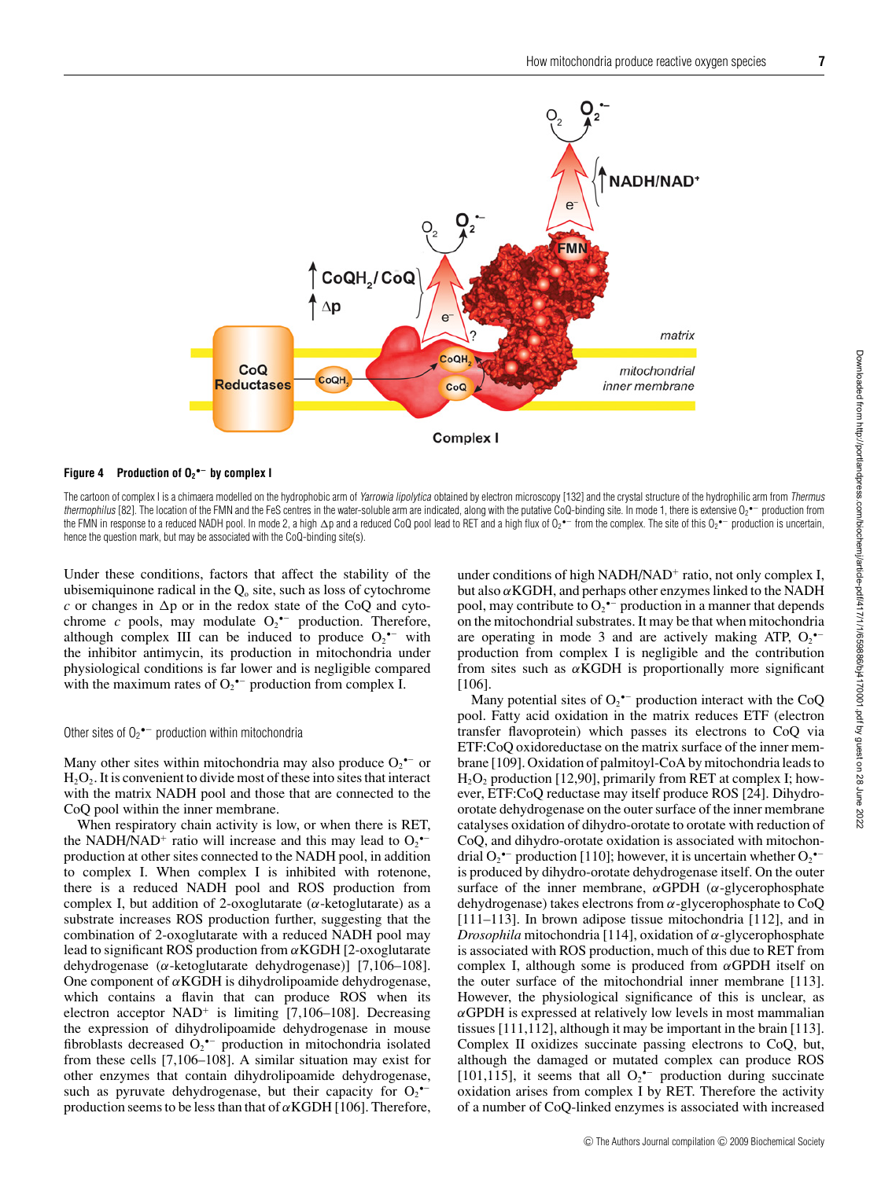

#### **Figure 4 Production of O2 •− by complex I**

The cartoon of complex I is a chimaera modelled on the hydrophobic arm of Yarrowia lipolytica obtained by electron microscopy [132] and the crystal structure of the hydrophilic arm from Thermus *thermophilus* [82]. The location of the FMN and the FeS centres in the water-soluble arm are indicated, along with the putative CoQ-binding site. In mode 1, there is extensive O<sub>2</sub> •− production from the FMN in response to a reduced NADH pool. In mode 2, a high ∆p and a reduced CoQ pool lead to RET and a high flux of O2\*− from the complex. The site of this O2\*− production is uncertain, hence the question mark, but may be associated with the CoQ-binding site(s).

Under these conditions, factors that affect the stability of the ubisemiquinone radical in the  $Q_0$  site, such as loss of cytochrome  $c$  or changes in  $\Delta p$  or in the redox state of the CoQ and cytochrome  $c$  pools, may modulate  $O_2$ <sup>\*-</sup> production. Therefore, although complex III can be induced to produce  $O_2$ <sup>\*-</sup> with the inhibitor antimycin, its production in mitochondria under physiological conditions is far lower and is negligible compared with the maximum rates of  $O_2^{\bullet-}$  production from complex I.

## Other sites of  $O_2$ <sup>•–</sup> production within mitochondria

Many other sites within mitochondria may also produce  $O_2$ <sup>\*-</sup> or  $H_2O_2$ . It is convenient to divide most of these into sites that interact with the matrix NADH pool and those that are connected to the CoQ pool within the inner membrane.

When respiratory chain activity is low, or when there is RET, the NADH/NAD<sup>+</sup> ratio will increase and this may lead to  $O_2$ <sup> $\sim$ </sup> production at other sites connected to the NADH pool, in addition to complex I. When complex I is inhibited with rotenone, there is a reduced NADH pool and ROS production from complex I, but addition of 2-oxoglutarate ( $\alpha$ -ketoglutarate) as a substrate increases ROS production further, suggesting that the combination of 2-oxoglutarate with a reduced NADH pool may lead to significant ROS production from  $\alpha$ KGDH [2-oxoglutarate] dehydrogenase (α-ketoglutarate dehydrogenase)] [7,106–108]. One component of  $\alpha$ KGDH is dihydrolipoamide dehydrogenase, which contains a flavin that can produce ROS when its electron acceptor  $NAD^+$  is limiting [7,106–108]. Decreasing the expression of dihydrolipoamide dehydrogenase in mouse fibroblasts decreased  $O_2$ <sup>\*-</sup> production in mitochondria isolated from these cells [7,106–108]. A similar situation may exist for other enzymes that contain dihydrolipoamide dehydrogenase, such as pyruvate dehydrogenase, but their capacity for  $O_2$ <sup>--</sup> production seems to be less than that of  $\alpha$ KGDH [106]. Therefore, under conditions of high NADH/NAD<sup>+</sup> ratio, not only complex I, but also  $\alpha$ KGDH, and perhaps other enzymes linked to the NADH pool, may contribute to  $O_2$ <sup>\*-</sup> production in a manner that depends on the mitochondrial substrates. It may be that when mitochondria are operating in mode 3 and are actively making ATP,  $O_2$ <sup>\*-</sup> production from complex I is negligible and the contribution from sites such as  $\alpha$ KGDH is proportionally more significant [106].

Many potential sites of  $O_2^{\bullet-}$  production interact with the CoQ pool. Fatty acid oxidation in the matrix reduces ETF (electron transfer flavoprotein) which passes its electrons to CoQ via ETF:CoQ oxidoreductase on the matrix surface of the inner membrane [109]. Oxidation of palmitoyl-CoA by mitochondria leads to  $H<sub>2</sub>O<sub>2</sub>$  production [12,90], primarily from RET at complex I; however, ETF:CoQ reductase may itself produce ROS [24]. Dihydroorotate dehydrogenase on the outer surface of the inner membrane catalyses oxidation of dihydro-orotate to orotate with reduction of CoQ, and dihydro-orotate oxidation is associated with mitochondrial  $O_2$ <sup>\*-</sup> production [110]; however, it is uncertain whether  $O_2$ <sup>\*-</sup> is produced by dihydro-orotate dehydrogenase itself. On the outer surface of the inner membrane,  $\alpha$ GPDH ( $\alpha$ -glycerophosphate dehydrogenase) takes electrons from α-glycerophosphate to CoQ [111–113]. In brown adipose tissue mitochondria [112], and in *Drosophila* mitochondria [114], oxidation of α-glycerophosphate is associated with ROS production, much of this due to RET from complex I, although some is produced from  $\alpha$ GPDH itself on the outer surface of the mitochondrial inner membrane [113]. However, the physiological significance of this is unclear, as  $\alpha$ GPDH is expressed at relatively low levels in most mammalian tissues [111,112], although it may be important in the brain [113]. Complex II oxidizes succinate passing electrons to CoQ, but, although the damaged or mutated complex can produce ROS [101,115], it seems that all  $O_2$ <sup>\*-</sup> production during succinate oxidation arises from complex I by RET. Therefore the activity of a number of CoQ-linked enzymes is associated with increased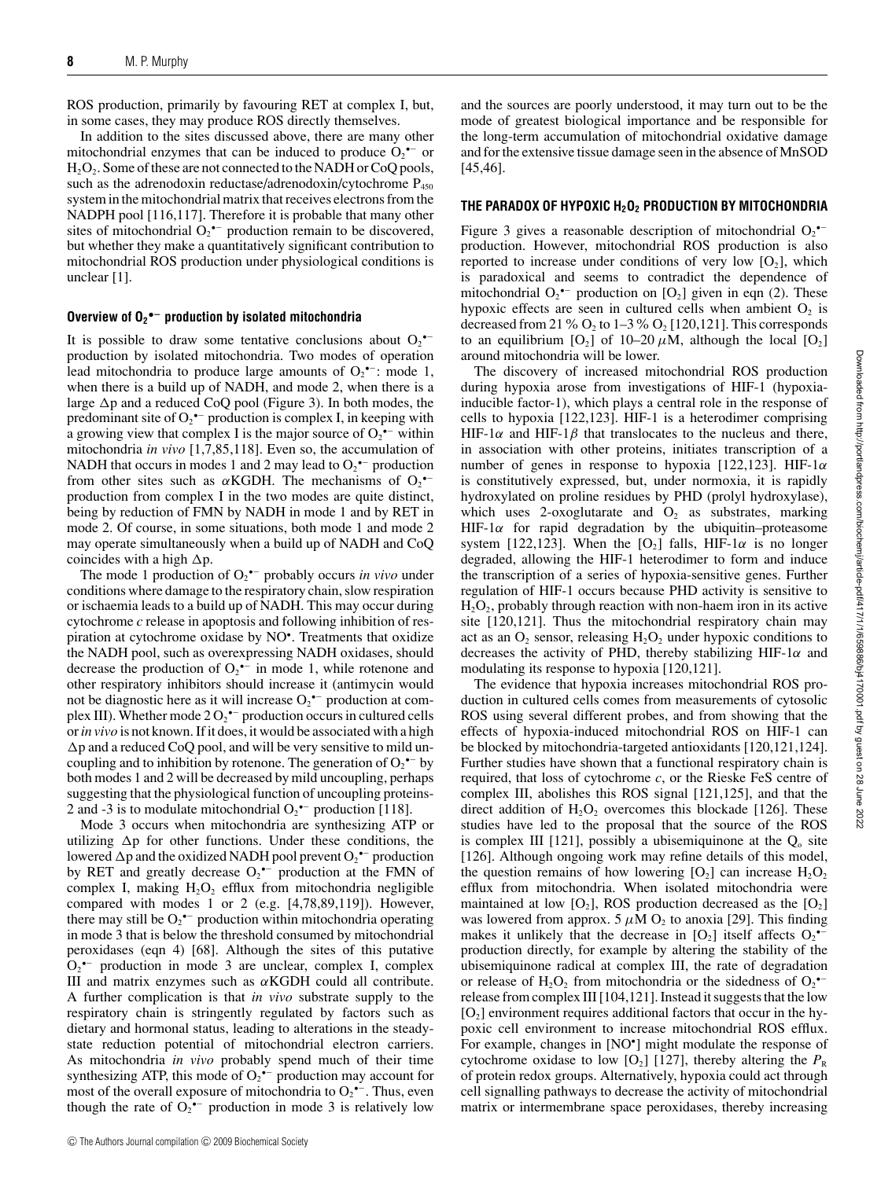ROS production, primarily by favouring RET at complex I, but, in some cases, they may produce ROS directly themselves.

In addition to the sites discussed above, there are many other mitochondrial enzymes that can be induced to produce  $O_2$ <sup> $\text{-}$ </sup> or  $H_2O_2$ . Some of these are not connected to the NADH or CoQ pools, such as the adrenodoxin reductase/adrenodoxin/cytochrome  $P_{450}$ system in the mitochondrial matrix that receives electrons from the NADPH pool [116,117]. Therefore it is probable that many other sites of mitochondrial  $O_2$ <sup>•–</sup> production remain to be discovered, but whether they make a quantitatively significant contribution to mitochondrial ROS production under physiological conditions is unclear [1].

## **Overview of O2 •− production by isolated mitochondria**

It is possible to draw some tentative conclusions about  $O_2$ <sup>\*-</sup> production by isolated mitochondria. Two modes of operation lead mitochondria to produce large amounts of  $O_2$ <sup>•–</sup>: mode 1, when there is a build up of NADH, and mode 2, when there is a large  $\Delta p$  and a reduced CoQ pool (Figure 3). In both modes, the predominant site of  $O_2^{\bullet-}$  production is complex I, in keeping with a growing view that complex I is the major source of  $O_2$ <sup> $\bullet$ –</sup> within mitochondria *in vivo* [1,7,85,118]. Even so, the accumulation of NADH that occurs in modes 1 and 2 may lead to  $O_2$ <sup> $\sim$ –</sup> production from other sites such as  $\alpha$ KGDH. The mechanisms of O<sub>2</sub> $\bullet$ production from complex I in the two modes are quite distinct, being by reduction of FMN by NADH in mode 1 and by RET in mode 2. Of course, in some situations, both mode 1 and mode 2 may operate simultaneously when a build up of NADH and CoQ coincides with a high  $\Delta p$ .

The mode 1 production of  $O_2$ <sup>•–</sup> probably occurs *in vivo* under conditions where damage to the respiratory chain, slow respiration or ischaemia leads to a build up of NADH. This may occur during cytochrome *c* release in apoptosis and following inhibition of respiration at cytochrome oxidase by NO• . Treatments that oxidize the NADH pool, such as overexpressing NADH oxidases, should decrease the production of  $O_2$ <sup> $\text{-}$ </sup> in mode 1, while rotenone and other respiratory inhibitors should increase it (antimycin would not be diagnostic here as it will increase  $O_2$ <sup> $-$ </sup> production at complex III). Whether mode 2  $O_2$ <sup>\*-</sup> production occurs in cultured cells or*in vivo* is not known. If it does, it would be associated with a high -p and a reduced CoQ pool, and will be very sensitive to mild uncoupling and to inhibition by rotenone. The generation of  $O_2$ <sup> $\text{-}$ </sup> by both modes 1 and 2 will be decreased by mild uncoupling, perhaps suggesting that the physiological function of uncoupling proteins-2 and -3 is to modulate mitochondrial  $O_2$ <sup>•–</sup> production [118].

Mode 3 occurs when mitochondria are synthesizing ATP or utilizing  $\Delta p$  for other functions. Under these conditions, the lowered  $\Delta p$  and the oxidized NADH pool prevent  $O_2$   $\hspace{-1em}\rule{0.1mm}{1.1ex}\hspace{-1em}\rule{0.1mm}{1.5ex}\hspace{-1em}\rho$  and the oxidized NADH pool prevent  $O_2$   $\hspace{-1em}\rule{0.1mm}{1.5ex}\hspace{-1em}\rho$  production by RET and greatly decrease  $O_2$ <sup>\*-</sup> production at the FMN of complex I, making  $H_2O_2$  efflux from mitochondria negligible compared with modes 1 or 2 (e.g. [4,78,89,119]). However, there may still be  $O_2$ <sup>\*-</sup> production within mitochondria operating in mode 3 that is below the threshold consumed by mitochondrial peroxidases (eqn 4) [68]. Although the sites of this putative  $O_2$ <sup>•–</sup> production in mode 3 are unclear, complex I, complex III and matrix enzymes such as  $\alpha$ KGDH could all contribute. A further complication is that *in vivo* substrate supply to the respiratory chain is stringently regulated by factors such as dietary and hormonal status, leading to alterations in the steadystate reduction potential of mitochondrial electron carriers. As mitochondria *in vivo* probably spend much of their time synthesizing ATP, this mode of  $O_2$ <sup>+-</sup> production may account for most of the overall exposure of mitochondria to  $O_2$ <sup> $-$ </sup>. Thus, even though the rate of  $O_2^{\bullet-}$  production in mode 3 is relatively low

and the sources are poorly understood, it may turn out to be the mode of greatest biological importance and be responsible for the long-term accumulation of mitochondrial oxidative damage and for the extensive tissue damage seen in the absence of MnSOD [45,46].

#### **THE PARADOX OF HYPOXIC H2O2 PRODUCTION BY MITOCHONDRIA**

Figure 3 gives a reasonable description of mitochondrial  $O_2$ <sup>•–</sup> production. However, mitochondrial ROS production is also reported to increase under conditions of very low  $[O_2]$ , which is paradoxical and seems to contradict the dependence of mitochondrial  $O_2^{\bullet-}$  production on  $[O_2]$  given in eqn (2). These hypoxic effects are seen in cultured cells when ambient  $O_2$  is decreased from 21 %  $O_2$  to 1–3 %  $O_2$  [120,121]. This corresponds to an equilibrium  $[O_2]$  of 10–20  $\mu$ M, although the local  $[O_2]$ around mitochondria will be lower.

The discovery of increased mitochondrial ROS production during hypoxia arose from investigations of HIF-1 (hypoxiainducible factor-1), which plays a central role in the response of cells to hypoxia [122,123]. HIF-1 is a heterodimer comprising HIF-1 $\alpha$  and HIF-1 $\beta$  that translocates to the nucleus and there, in association with other proteins, initiates transcription of a number of genes in response to hypoxia [122,123]. HIF-1 $\alpha$ is constitutively expressed, but, under normoxia, it is rapidly hydroxylated on proline residues by PHD (prolyl hydroxylase), which uses 2-oxoglutarate and  $O_2$  as substrates, marking HIF-1 $\alpha$  for rapid degradation by the ubiquitin–proteasome system [122,123]. When the  $[O_2]$  falls, HIF-1 $\alpha$  is no longer degraded, allowing the HIF-1 heterodimer to form and induce the transcription of a series of hypoxia-sensitive genes. Further regulation of HIF-1 occurs because PHD activity is sensitive to  $H<sub>2</sub>O<sub>2</sub>$ , probably through reaction with non-haem iron in its active site [120,121]. Thus the mitochondrial respiratory chain may act as an  $O_2$  sensor, releasing  $H_2O_2$  under hypoxic conditions to decreases the activity of PHD, thereby stabilizing HIF-1 $\alpha$  and modulating its response to hypoxia [120,121].

The evidence that hypoxia increases mitochondrial ROS production in cultured cells comes from measurements of cytosolic ROS using several different probes, and from showing that the effects of hypoxia-induced mitochondrial ROS on HIF-1 can be blocked by mitochondria-targeted antioxidants [120,121,124]. Further studies have shown that a functional respiratory chain is required, that loss of cytochrome *c*, or the Rieske FeS centre of complex III, abolishes this ROS signal [121,125], and that the direct addition of  $H_2O_2$  overcomes this blockade [126]. These studies have led to the proposal that the source of the ROS is complex III [121], possibly a ubisemiquinone at the  $Q_0$  site [126]. Although ongoing work may refine details of this model, the question remains of how lowering  $[O_2]$  can increase  $H_2O_2$ efflux from mitochondria. When isolated mitochondria were maintained at low  $[O_2]$ , ROS production decreased as the  $[O_2]$ was lowered from approx. 5  $\mu$ M O<sub>2</sub> to anoxia [29]. This finding makes it unlikely that the decrease in  $[O_2]$  itself affects  $O_2^{\bullet-}$ production directly, for example by altering the stability of the ubisemiquinone radical at complex III, the rate of degradation or release of  $H_2O_2$  from mitochondria or the sidedness of  $O_2^{\bullet-}$ release from complex III [104,121]. Instead it suggests that the low  $[O_2]$  environment requires additional factors that occur in the hypoxic cell environment to increase mitochondrial ROS efflux. For example, changes in [NO• ] might modulate the response of cytochrome oxidase to low  $[O_2]$  [127], thereby altering the  $P_R$ of protein redox groups. Alternatively, hypoxia could act through cell signalling pathways to decrease the activity of mitochondrial matrix or intermembrane space peroxidases, thereby increasing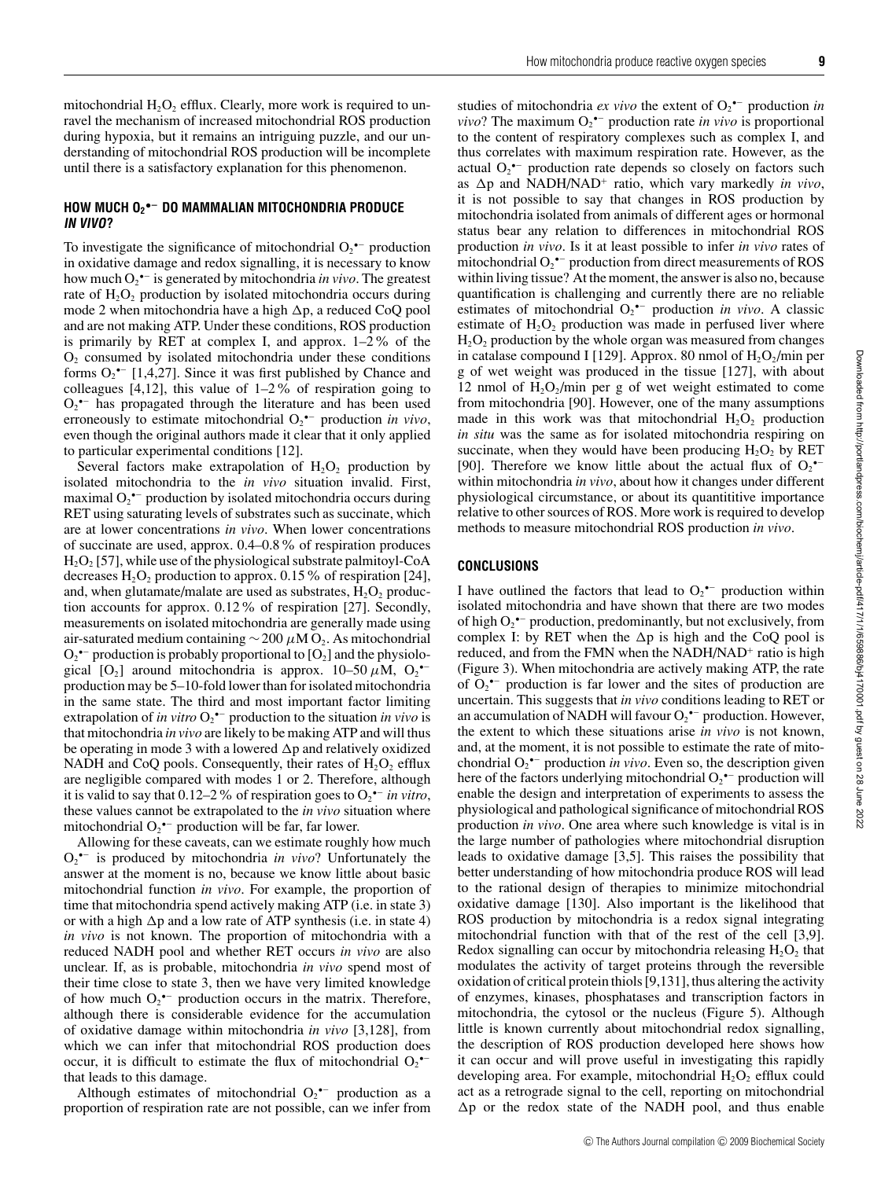# **HOW MUCH O2 •− DO MAMMALIAN MITOCHONDRIA PRODUCE IN VIVO?**

To investigate the significance of mitochondrial  $O_2^{\bullet-}$  production in oxidative damage and redox signalling, it is necessary to know how much O2 •− is generated by mitochondria *in vivo*. The greatest rate of  $H_2O_2$  production by isolated mitochondria occurs during mode 2 when mitochondria have a high  $\Delta p$ , a reduced CoQ pool and are not making ATP. Under these conditions, ROS production is primarily by RET at complex I, and approx. 1–2% of the  $O<sub>2</sub>$  consumed by isolated mitochondria under these conditions forms  $O_2^{\bullet-}$  [1,4,27]. Since it was first published by Chance and colleagues  $[4,12]$ , this value of  $1-2\%$  of respiration going to  $O_2$ <sup>•–</sup> has propagated through the literature and has been used erroneously to estimate mitochondrial O<sub>2</sub><sup>•−</sup> production *in vivo*, even though the original authors made it clear that it only applied to particular experimental conditions [12].

Several factors make extrapolation of  $H_2O_2$  production by isolated mitochondria to the *in vivo* situation invalid. First, maximal  $O_2$ <sup>•–</sup> production by isolated mitochondria occurs during RET using saturating levels of substrates such as succinate, which are at lower concentrations *in vivo*. When lower concentrations of succinate are used, approx. 0.4–0.8% of respiration produces  $H<sub>2</sub>O<sub>2</sub>$  [57], while use of the physiological substrate palmitoyl-CoA decreases  $H_2O_2$  production to approx. 0.15% of respiration [24], and, when glutamate/malate are used as substrates,  $H_2O_2$  production accounts for approx. 0.12% of respiration [27]. Secondly, measurements on isolated mitochondria are generally made using air-saturated medium containing  $\sim$  200  $\mu$ M O<sub>2</sub>. As mitochondrial  $O_2$ •<sup>–</sup> production is probably proportional to [ $O_2$ ] and the physiological [O<sub>2</sub>] around mitochondria is approx. 10–50  $\mu$ M, O<sub>2</sub><sup>•–</sup> production may be 5–10-fold lower than for isolated mitochondria in the same state. The third and most important factor limiting extrapolation of *in vitro* O2 •− production to the situation *in vivo* is that mitochondria *in vivo* are likely to be making ATP and will thus be operating in mode 3 with a lowered  $\Delta p$  and relatively oxidized NADH and CoQ pools. Consequently, their rates of  $H_2O_2$  efflux are negligible compared with modes 1 or 2. Therefore, although it is valid to say that  $0.12–2\%$  of respiration goes to  $O_2$ <sup>•–</sup> *in vitro*, these values cannot be extrapolated to the *in vivo* situation where mitochondrial  $O_2$ <sup>\*-</sup> production will be far, far lower.

Allowing for these caveats, can we estimate roughly how much O2 •− is produced by mitochondria *in vivo*? Unfortunately the answer at the moment is no, because we know little about basic mitochondrial function *in vivo*. For example, the proportion of time that mitochondria spend actively making ATP (i.e. in state 3) or with a high  $\Delta p$  and a low rate of ATP synthesis (i.e. in state 4) *in vivo* is not known. The proportion of mitochondria with a reduced NADH pool and whether RET occurs *in vivo* are also unclear. If, as is probable, mitochondria *in vivo* spend most of their time close to state 3, then we have very limited knowledge of how much  $O_2^{\bullet-}$  production occurs in the matrix. Therefore, although there is considerable evidence for the accumulation of oxidative damage within mitochondria *in vivo* [3,128], from which we can infer that mitochondrial ROS production does occur, it is difficult to estimate the flux of mitochondrial  $O_2$ <sup>\*-</sup> that leads to this damage.

Although estimates of mitochondrial  $O_2$ <sup>-</sup> production as a proportion of respiration rate are not possible, can we infer from

studies of mitochondria *ex vivo* the extent of O2 •− production *in ? The maximum*  $O_2$ *<sup>\*-</sup> production rate <i>in vivo* is proportional to the content of respiratory complexes such as complex I, and thus correlates with maximum respiration rate. However, as the actual  $O_2$ <sup>•–</sup> production rate depends so closely on factors such as  $\Delta p$  and NADH/NAD<sup>+</sup> ratio, which vary markedly *in vivo*, it is not possible to say that changes in ROS production by mitochondria isolated from animals of different ages or hormonal status bear any relation to differences in mitochondrial ROS production *in vivo*. Is it at least possible to infer *in vivo* rates of mitochondrial  $O_2^{\bullet-}$  production from direct measurements of ROS within living tissue? At the moment, the answer is also no, because quantification is challenging and currently there are no reliable estimates of mitochondrial O<sub>2</sub><sup>•−</sup> production *in vivo*. A classic estimate of  $H_2O_2$  production was made in perfused liver where  $H<sub>2</sub>O<sub>2</sub>$  production by the whole organ was measured from changes in catalase compound I [129]. Approx. 80 nmol of  $H_2O_2/m$ in per g of wet weight was produced in the tissue [127], with about 12 nmol of  $H_2O_2/m$ in per g of wet weight estimated to come from mitochondria [90]. However, one of the many assumptions made in this work was that mitochondrial  $H_2O_2$  production *in situ* was the same as for isolated mitochondria respiring on succinate, when they would have been producing  $H_2O_2$  by RET [90]. Therefore we know little about the actual flux of  $O_2^{\bullet-}$ within mitochondria *in vivo*, about how it changes under different physiological circumstance, or about its quantititive importance relative to other sources of ROS. More work is required to develop methods to measure mitochondrial ROS production *in vivo*.

## **CONCLUSIONS**

I have outlined the factors that lead to  $O_2^{\bullet-}$  production within isolated mitochondria and have shown that there are two modes of high  $O_2^{\bullet-}$  production, predominantly, but not exclusively, from complex I: by RET when the  $\Delta p$  is high and the CoQ pool is reduced, and from the FMN when the NADH/NAD<sup>+</sup> ratio is high (Figure 3). When mitochondria are actively making ATP, the rate of  $O_2$ <sup>•–</sup> production is far lower and the sites of production are uncertain. This suggests that *in vivo* conditions leading to RET or an accumulation of NADH will favour  $O_2$ <sup>\*-</sup> production. However, the extent to which these situations arise *in vivo* is not known, and, at the moment, it is not possible to estimate the rate of mitochondrial  $O_2$ <sup>\*-</sup> production *in vivo*. Even so, the description given here of the factors underlying mitochondrial  $O_2$ <sup> $-$ </sup> production will enable the design and interpretation of experiments to assess the physiological and pathological significance of mitochondrial ROS production *in vivo*. One area where such knowledge is vital is in the large number of pathologies where mitochondrial disruption leads to oxidative damage [3,5]. This raises the possibility that better understanding of how mitochondria produce ROS will lead to the rational design of therapies to minimize mitochondrial oxidative damage [130]. Also important is the likelihood that ROS production by mitochondria is a redox signal integrating mitochondrial function with that of the rest of the cell [3,9]. Redox signalling can occur by mitochondria releasing  $H_2O_2$  that modulates the activity of target proteins through the reversible oxidation of critical protein thiols [9,131], thus altering the activity of enzymes, kinases, phosphatases and transcription factors in mitochondria, the cytosol or the nucleus (Figure 5). Although little is known currently about mitochondrial redox signalling, the description of ROS production developed here shows how it can occur and will prove useful in investigating this rapidly developing area. For example, mitochondrial  $H_2O_2$  efflux could act as a retrograde signal to the cell, reporting on mitochondrial  $\Delta p$  or the redox state of the NADH pool, and thus enable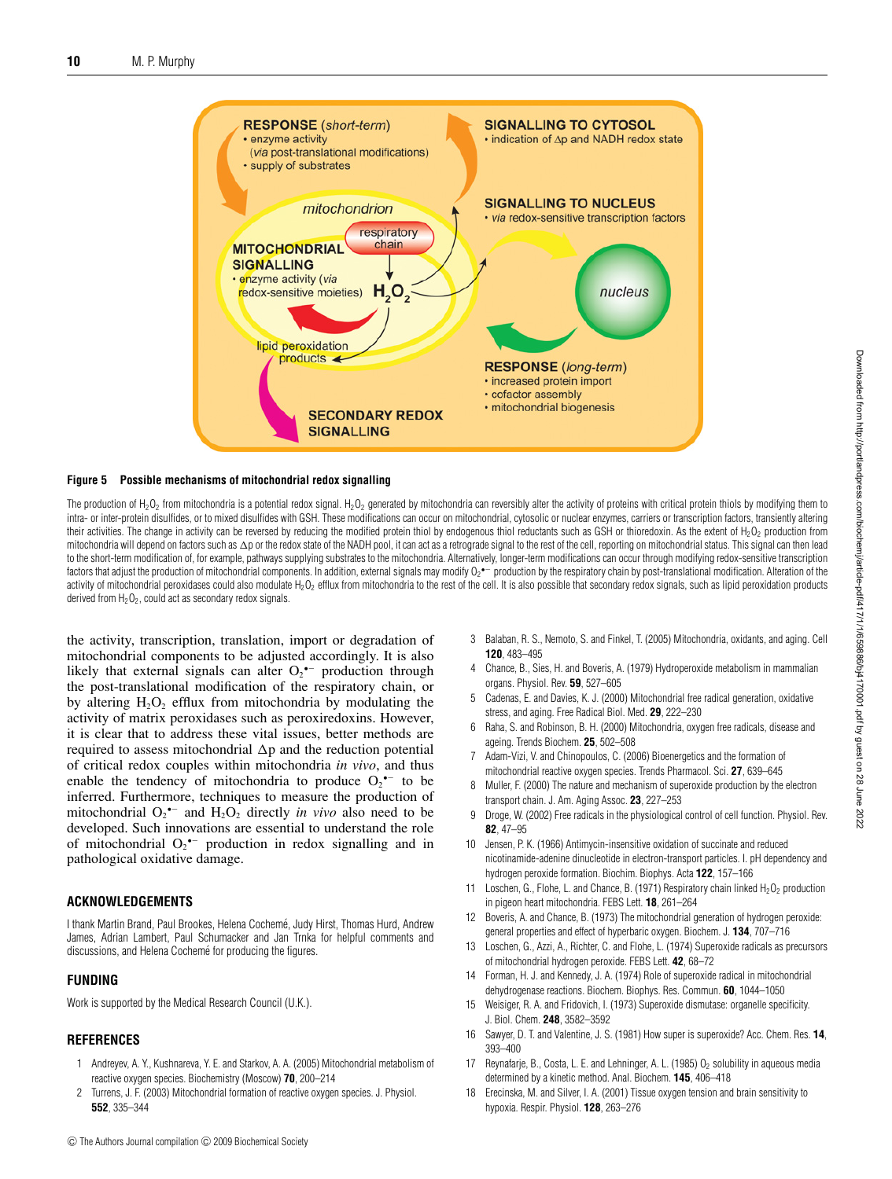

#### **Figure 5 Possible mechanisms of mitochondrial redox signalling**

The production of H<sub>2</sub>O<sub>2</sub> from mitochondria is a potential redox signal. H<sub>2</sub>O<sub>2</sub> generated by mitochondria can reversibly alter the activity of proteins with critical protein thiols by modifying them to intra- or inter-protein disulfides, or to mixed disulfides with GSH. These modifications can occur on mitochondrial, cytosolic or nuclear enzymes, carriers or transcription factors, transiently altering their activities. The change in activity can be reversed by reducing the modified protein thiol by endogenous thiol reductants such as GSH or thioredoxin. As the extent of H<sub>2</sub>O<sub>2</sub> production from mitochondria will depend on factors such as  $\Delta$ p or the redox state of the NADH pool, it can act as a retrograde signal to the rest of the cell, reporting on mitochondrial status. This signal can then lead to the short-term modification of, for example, pathways supplying substrates to the mitochondria. Alternatively, longer-term modifications can occur through modifying redox-sensitive transcription factors that adjust the production of mitochondrial components. In addition, external signals may modify  $0_2$   $\sim$  production by the respiratory chain by post-translational modification. Alteration of the activity of mitochondrial peroxidases could also modulate H<sub>2</sub>O<sub>2</sub> efflux from mitochondria to the rest of the cell. It is also possible that secondary redox signals, such as lipid peroxidation products derived from  $H_2O_2$ , could act as secondary redox signals.

the activity, transcription, translation, import or degradation of mitochondrial components to be adjusted accordingly. It is also likely that external signals can alter  $O_2$ <sup>\*-</sup> production through the post-translational modification of the respiratory chain, or by altering  $H_2O_2$  efflux from mitochondria by modulating the activity of matrix peroxidases such as peroxiredoxins. However, it is clear that to address these vital issues, better methods are required to assess mitochondrial  $\Delta p$  and the reduction potential of critical redox couples within mitochondria *in vivo*, and thus enable the tendency of mitochondria to produce  $O_2$ <sup>•–</sup> to be inferred. Furthermore, techniques to measure the production of mitochondrial  $O_2$ <sup>\*-</sup> and  $H_2O_2$  directly *in vivo* also need to be developed. Such innovations are essential to understand the role of mitochondrial  $O_2$  production in redox signalling and in pathological oxidative damage.

## **ACKNOWLEDGEMENTS**

I thank Martin Brand, Paul Brookes, Helena Cocheme, Judy Hirst, Thomas Hurd, Andrew ´ James, Adrian Lambert, Paul Schumacker and Jan Trnka for helpful comments and discussions, and Helena Cochemé for producing the figures.

#### **FUNDING**

Work is supported by the Medical Research Council (U.K.).

## **REFERENCES**

- 1 Andreyev, A. Y., Kushnareva, Y. E. and Starkov, A. A. (2005) Mitochondrial metabolism of reactive oxygen species. Biochemistry (Moscow) **70**, 200–214
- 2 Turrens, J. F. (2003) Mitochondrial formation of reactive oxygen species. J. Physiol. **552**, 335–344
- 3 Balaban, R. S., Nemoto, S. and Finkel, T. (2005) Mitochondria, oxidants, and aging. Cell **120**, 483–495
- 4 Chance, B., Sies, H. and Boveris, A. (1979) Hydroperoxide metabolism in mammalian organs. Physiol. Rev. **59**, 527–605
- 5 Cadenas, E. and Davies, K. J. (2000) Mitochondrial free radical generation, oxidative stress, and aging. Free Radical Biol. Med. **29**, 222–230
- 6 Raha, S. and Robinson, B. H. (2000) Mitochondria, oxygen free radicals, disease and ageing. Trends Biochem. **25**, 502–508
- 7 Adam-Vizi, V. and Chinopoulos, C. (2006) Bioenergetics and the formation of mitochondrial reactive oxygen species. Trends Pharmacol. Sci. **27**, 639–645
- Muller, F. (2000) The nature and mechanism of superoxide production by the electron transport chain. J. Am. Aging Assoc. **23**, 227–253
- 9 Droge, W. (2002) Free radicals in the physiological control of cell function. Physiol. Rev. **82**, 47–95
- 10 Jensen, P. K. (1966) Antimycin-insensitive oxidation of succinate and reduced nicotinamide-adenine dinucleotide in electron-transport particles. I. pH dependency and hydrogen peroxide formation. Biochim. Biophys. Acta **122**, 157–166
- 11 Loschen, G., Flohe, L. and Chance, B. (1971) Respiratory chain linked  $H_2O_2$  production in pigeon heart mitochondria. FEBS Lett. **18**, 261–264
- 12 Boveris, A. and Chance, B. (1973) The mitochondrial generation of hydrogen peroxide: general properties and effect of hyperbaric oxygen. Biochem. J. **134**, 707–716
- 13 Loschen, G., Azzi, A., Richter, C. and Flohe, L. (1974) Superoxide radicals as precursors of mitochondrial hydrogen peroxide. FEBS Lett. **42**, 68–72
- 14 Forman, H. J. and Kennedy, J. A. (1974) Role of superoxide radical in mitochondrial dehydrogenase reactions. Biochem. Biophys. Res. Commun. **60**, 1044–1050
- 15 Weisiger, R. A. and Fridovich, I. (1973) Superoxide dismutase: organelle specificity. J. Biol. Chem. **248**, 3582–3592
- 16 Sawyer, D. T. and Valentine, J. S. (1981) How super is superoxide? Acc. Chem. Res. **14**, 393–400
- 17 Reynafarje, B., Costa, L. E. and Lehninger, A. L. (1985)  $O<sub>2</sub>$  solubility in aqueous media determined by a kinetic method. Anal. Biochem. **145**, 406–418
- 18 Erecinska, M. and Silver, I. A. (2001) Tissue oxygen tension and brain sensitivity to hypoxia. Respir. Physiol. **128**, 263–276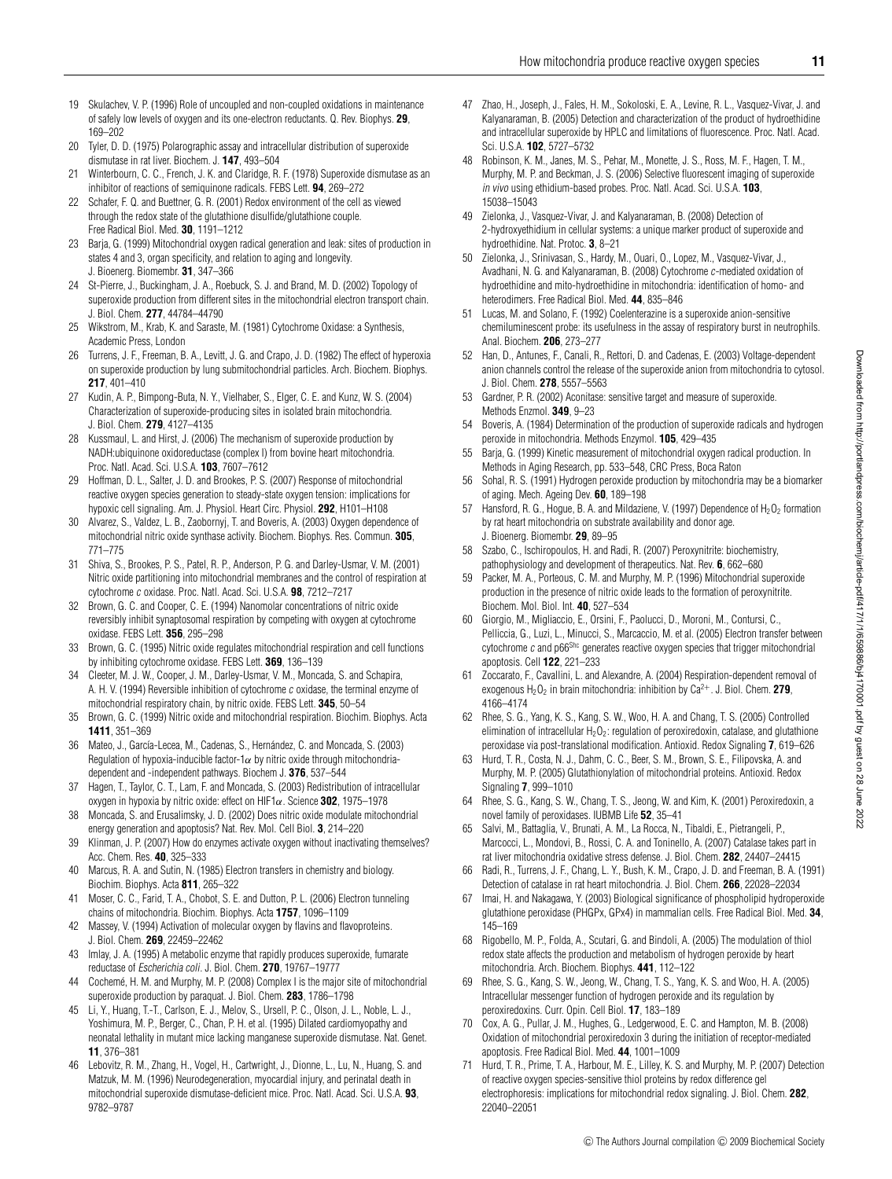- 19 Skulachev, V. P. (1996) Role of uncoupled and non-coupled oxidations in maintenance of safely low levels of oxygen and its one-electron reductants. Q. Rev. Biophys. **29**, 169–202
- 20 Tyler, D. D. (1975) Polarographic assay and intracellular distribution of superoxide dismutase in rat liver. Biochem. J. **147**, 493–504
- 21 Winterbourn, C. C., French, J. K. and Claridge, R. F. (1978) Superoxide dismutase as an inhibitor of reactions of semiquinone radicals. FEBS Lett. **94**, 269–272
- 22 Schafer, F. Q. and Buettner, G. R. (2001) Redox environment of the cell as viewed through the redox state of the glutathione disulfide/glutathione couple. Free Radical Biol. Med. **30**, 1191–1212
- 23 Barja, G. (1999) Mitochondrial oxygen radical generation and leak: sites of production in states 4 and 3, organ specificity, and relation to aging and longevity. J. Bioenerg. Biomembr. **31**, 347–366
- 24 St-Pierre, J., Buckingham, J. A., Roebuck, S. J. and Brand, M. D. (2002) Topology of superoxide production from different sites in the mitochondrial electron transport chain. J. Biol. Chem. **277**, 44784–44790
- 25 Wikstrom, M., Krab, K. and Saraste, M. (1981) Cytochrome Oxidase: a Synthesis, Academic Press, London
- 26 Turrens, J. F., Freeman, B. A., Levitt, J. G. and Crapo, J. D. (1982) The effect of hyperoxia on superoxide production by lung submitochondrial particles. Arch. Biochem. Biophys. **217**, 401–410
- 27 Kudin, A. P., Bimpong-Buta, N. Y., Vielhaber, S., Elger, C. E. and Kunz, W. S. (2004) Characterization of superoxide-producing sites in isolated brain mitochondria. J. Biol. Chem. **279**, 4127–4135
- 28 Kussmaul, L. and Hirst, J. (2006) The mechanism of superoxide production by NADH:ubiquinone oxidoreductase (complex I) from bovine heart mitochondria. Proc. Natl. Acad. Sci. U.S.A. **103**, 7607–7612
- 29 Hoffman, D. L., Salter, J. D. and Brookes, P. S. (2007) Response of mitochondrial reactive oxygen species generation to steady-state oxygen tension: implications for hypoxic cell signaling. Am. J. Physiol. Heart Circ. Physiol. **292**, H101–H108
- 30 Alvarez, S., Valdez, L. B., Zaobornyj, T. and Boveris, A. (2003) Oxygen dependence of mitochondrial nitric oxide synthase activity. Biochem. Biophys. Res. Commun. **305**, 771–775
- 31 Shiva, S., Brookes, P. S., Patel, R. P., Anderson, P. G. and Darley-Usmar, V. M. (2001) Nitric oxide partitioning into mitochondrial membranes and the control of respiration at cytochrome <sup>c</sup> oxidase. Proc. Natl. Acad. Sci. U.S.A. **98**, 7212–7217
- 32 Brown, G. C. and Cooper, C. E. (1994) Nanomolar concentrations of nitric oxide reversibly inhibit synaptosomal respiration by competing with oxygen at cytochrome oxidase. FEBS Lett. **356**, 295–298
- 33 Brown, G. C. (1995) Nitric oxide regulates mitochondrial respiration and cell functions by inhibiting cytochrome oxidase. FEBS Lett. **369**, 136–139
- 34 Cleeter, M. J. W., Cooper, J. M., Darley-Usmar, V. M., Moncada, S. and Schapira, A. H. V. (1994) Reversible inhibition of cytochrome <sup>c</sup> oxidase, the terminal enzyme of mitochondrial respiratory chain, by nitric oxide. FEBS Lett. **345**, 50–54
- 35 Brown, G. C. (1999) Nitric oxide and mitochondrial respiration. Biochim. Biophys. Acta **1411**, 351–369
- 36 Mateo, J., García-Lecea, M., Cadenas, S., Hernández, C. and Moncada, S. (2003) Regulation of hypoxia-inducible factor-1 $\alpha$  by nitric oxide through mitochondriadependent and -independent pathways. Biochem J. **376**, 537–544
- 37 Hagen, T., Taylor, C. T., Lam, F. and Moncada, S. (2003) Redistribution of intracellular oxygen in hypoxia by nitric oxide: effect on HIF1α. Science **302**, 1975–1978
- 38 Moncada, S. and Erusalimsky, J. D. (2002) Does nitric oxide modulate mitochondrial energy generation and apoptosis? Nat. Rev. Mol. Cell Biol. **3**, 214–220
- 39 Klinman, J. P. (2007) How do enzymes activate oxygen without inactivating themselves? Acc. Chem. Res. **40**, 325–333
- 40 Marcus, R. A. and Sutin, N. (1985) Electron transfers in chemistry and biology. Biochim. Biophys. Acta **811**, 265–322
- 41 Moser, C. C., Farid, T. A., Chobot, S. E. and Dutton, P. L. (2006) Electron tunneling chains of mitochondria. Biochim. Biophys. Acta **1757**, 1096–1109
- 42 Massey, V. (1994) Activation of molecular oxygen by flavins and flavoproteins. J. Biol. Chem. **269**, 22459–22462
- 43 Imlay, J. A. (1995) A metabolic enzyme that rapidly produces superoxide, fumarate reductase of Escherichia coli. J. Biol. Chem. **270**, 19767–19777
- Cochemé, H. M. and Murphy, M. P. (2008) Complex I is the major site of mitochondrial superoxide production by paraquat. J. Biol. Chem. **283**, 1786–1798
- 45 Li, Y., Huang, T.-T., Carlson, E. J., Melov, S., Ursell, P. C., Olson, J. L., Noble, L. J., Yoshimura, M. P., Berger, C., Chan, P. H. et al. (1995) Dilated cardiomyopathy and neonatal lethality in mutant mice lacking manganese superoxide dismutase. Nat. Genet. **11**, 376–381
- 46 Lebovitz, R. M., Zhang, H., Vogel, H., Cartwright, J., Dionne, L., Lu, N., Huang, S. and Matzuk, M. M. (1996) Neurodegeneration, myocardial injury, and perinatal death in mitochondrial superoxide dismutase-deficient mice. Proc. Natl. Acad. Sci. U.S.A. **93**, 9782–9787
- 47 Zhao, H., Joseph, J., Fales, H. M., Sokoloski, E. A., Levine, R. L., Vasquez-Vivar, J. and Kalyanaraman, B. (2005) Detection and characterization of the product of hydroethidine and intracellular superoxide by HPLC and limitations of fluorescence. Proc. Natl. Acad. Sci. U.S.A. **102**, 5727–5732
- 48 Robinson, K. M., Janes, M. S., Pehar, M., Monette, J. S., Ross, M. F., Hagen, T. M., Murphy, M. P. and Beckman, J. S. (2006) Selective fluorescent imaging of superoxide in vivo using ethidium-based probes. Proc. Natl. Acad. Sci. U.S.A. **103**, 15038–15043
- 49 Zielonka, J., Vasquez-Vivar, J. and Kalyanaraman, B. (2008) Detection of 2-hydroxyethidium in cellular systems: a unique marker product of superoxide and hydroethidine. Nat. Protoc. **3**, 8–21
- 50 Zielonka, J., Srinivasan, S., Hardy, M., Ouari, O., Lopez, M., Vasquez-Vivar, J., Avadhani, N. G. and Kalyanaraman, B. (2008) Cytochrome <sup>c</sup>-mediated oxidation of hydroethidine and mito-hydroethidine in mitochondria: identification of homo- and heterodimers. Free Radical Biol. Med. **44**, 835–846
- 51 Lucas, M. and Solano, F. (1992) Coelenterazine is a superoxide anion-sensitive chemiluminescent probe: its usefulness in the assay of respiratory burst in neutrophils. Anal. Biochem. **206**, 273–277
- 52 Han, D., Antunes, F., Canali, R., Rettori, D. and Cadenas, E. (2003) Voltage-dependent anion channels control the release of the superoxide anion from mitochondria to cytosol. J. Biol. Chem. **278**, 5557–5563
- 53 Gardner, P. R. (2002) Aconitase: sensitive target and measure of superoxide. Methods Enzmol. **349**, 9–23
- 54 Boveris, A. (1984) Determination of the production of superoxide radicals and hydrogen peroxide in mitochondria. Methods Enzymol. **105**, 429–435
- 55 Barja, G. (1999) Kinetic measurement of mitochondrial oxygen radical production. In Methods in Aging Research, pp. 533–548, CRC Press, Boca Raton
- 56 Sohal, R. S. (1991) Hydrogen peroxide production by mitochondria may be a biomarker of aging. Mech. Ageing Dev. **60**, 189–198
- 57 Hansford, R. G., Hogue, B. A. and Mildaziene, V. (1997) Dependence of  $H_2O_2$  formation by rat heart mitochondria on substrate availability and donor age. J. Bioenerg. Biomembr. **29**, 89–95
- 58 Szabo, C., Ischiropoulos, H. and Radi, R. (2007) Peroxynitrite: biochemistry, pathophysiology and development of therapeutics. Nat. Rev. **6**, 662–680
- 59 Packer, M. A., Porteous, C. M. and Murphy, M. P. (1996) Mitochondrial superoxide production in the presence of nitric oxide leads to the formation of peroxynitrite. Biochem. Mol. Biol. Int. **40**, 527–534
- 60 Giorgio, M., Migliaccio, E., Orsini, F., Paolucci, D., Moroni, M., Contursi, C., Pelliccia, G., Luzi, L., Minucci, S., Marcaccio, M. et al. (2005) Electron transfer between cytochrome  $c$  and p66 $S$ hc generates reactive oxygen species that trigger mitochondrial apoptosis. Cell **122**, 221–233
- Zoccarato, F., Cavallini, L. and Alexandre, A. (2004) Respiration-dependent removal of exogenous  $H_2O_2$  in brain mitochondria: inhibition by  $Ca^{2+}$ . J. Biol. Chem. **279**, 4166–4174
- 62 Rhee, S. G., Yang, K. S., Kang, S. W., Woo, H. A. and Chang, T. S. (2005) Controlled elimination of intracellular  $H_2O_2$ : regulation of peroxiredoxin, catalase, and glutathione peroxidase via post-translational modification. Antioxid. Redox Signaling **7**, 619–626
- 63 Hurd, T. R., Costa, N. J., Dahm, C. C., Beer, S. M., Brown, S. E., Filipovska, A. and Murphy, M. P. (2005) Glutathionylation of mitochondrial proteins. Antioxid. Redox Signaling **7**, 999–1010
- 64 Rhee, S. G., Kang, S. W., Chang, T. S., Jeong, W. and Kim, K. (2001) Peroxiredoxin, a novel family of peroxidases. IUBMB Life **52**, 35–41
- 65 Salvi, M., Battaglia, V., Brunati, A. M., La Rocca, N., Tibaldi, E., Pietrangeli, P., Marcocci, L., Mondovi, B., Rossi, C. A. and Toninello, A. (2007) Catalase takes part in rat liver mitochondria oxidative stress defense. J. Biol. Chem. **282**, 24407–24415
- 66 Radi, R., Turrens, J. F., Chang, L. Y., Bush, K. M., Crapo, J. D. and Freeman, B. A. (1991) Detection of catalase in rat heart mitochondria. J. Biol. Chem. **266**, 22028–22034
- 67 Imai, H. and Nakagawa, Y. (2003) Biological significance of phospholipid hydroperoxide glutathione peroxidase (PHGPx, GPx4) in mammalian cells. Free Radical Biol. Med. **34**, 145–169
- 68 Rigobello, M. P., Folda, A., Scutari, G. and Bindoli, A. (2005) The modulation of thiol redox state affects the production and metabolism of hydrogen peroxide by heart mitochondria. Arch. Biochem. Biophys. **441**, 112–122
- 69 Rhee, S. G., Kang, S. W., Jeong, W., Chang, T. S., Yang, K. S. and Woo, H. A. (2005) Intracellular messenger function of hydrogen peroxide and its regulation by peroxiredoxins. Curr. Opin. Cell Biol. **17**, 183–189
- 70 Cox, A. G., Pullar, J. M., Hughes, G., Ledgerwood, E. C. and Hampton, M. B. (2008) Oxidation of mitochondrial peroxiredoxin 3 during the initiation of receptor-mediated apoptosis. Free Radical Biol. Med. **44**, 1001–1009
- 71 Hurd, T. R., Prime, T. A., Harbour, M. E., Lilley, K. S. and Murphy, M. P. (2007) Detection of reactive oxygen species-sensitive thiol proteins by redox difference gel electrophoresis: implications for mitochondrial redox signaling. J. Biol. Chem. **282**, 22040–22051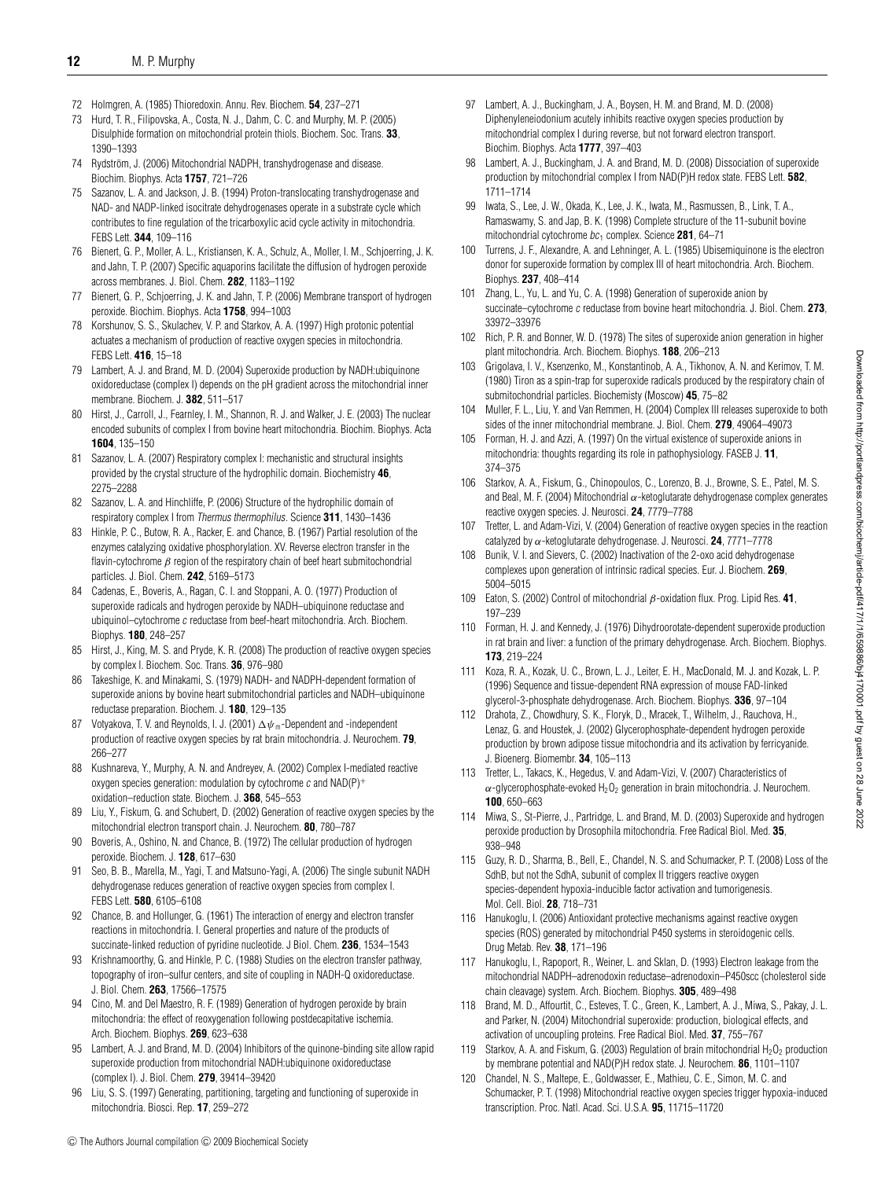- 72 Holmgren, A. (1985) Thioredoxin. Annu. Rev. Biochem. **54**, 237–271
- 73 Hurd, T. R., Filipovska, A., Costa, N. J., Dahm, C. C. and Murphy, M. P. (2005) Disulphide formation on mitochondrial protein thiols. Biochem. Soc. Trans. **33**, 1390–1393
- 74 Rydström, J. (2006) Mitochondrial NADPH, transhydrogenase and disease. Biochim. Biophys. Acta **1757**, 721–726
- 75 Sazanov, L. A. and Jackson, J. B. (1994) Proton-translocating transhydrogenase and NAD- and NADP-linked isocitrate dehydrogenases operate in a substrate cycle which contributes to fine regulation of the tricarboxylic acid cycle activity in mitochondria. FEBS Lett. **344**, 109–116
- 76 Bienert, G. P., Moller, A. L., Kristiansen, K. A., Schulz, A., Moller, I. M., Schjoerring, J. K. and Jahn, T. P. (2007) Specific aquaporins facilitate the diffusion of hydrogen peroxide across membranes. J. Biol. Chem. **282**, 1183–1192
- 77 Bienert, G. P., Schjoerring, J. K. and Jahn, T. P. (2006) Membrane transport of hydrogen peroxide. Biochim. Biophys. Acta **1758**, 994–1003
- 78 Korshunov, S. S., Skulachev, V. P. and Starkov, A. A. (1997) High protonic potential actuates a mechanism of production of reactive oxygen species in mitochondria. FEBS Lett. **416**, 15–18
- 79 Lambert, A. J. and Brand, M. D. (2004) Superoxide production by NADH:ubiquinone oxidoreductase (complex I) depends on the pH gradient across the mitochondrial inner membrane. Biochem. J. **382**, 511–517
- 80 Hirst, J., Carroll, J., Fearnley, I. M., Shannon, R. J. and Walker, J. E. (2003) The nuclear encoded subunits of complex I from bovine heart mitochondria. Biochim. Biophys. Acta **1604**, 135–150
- 81 Sazanov, L. A. (2007) Respiratory complex I: mechanistic and structural insights provided by the crystal structure of the hydrophilic domain. Biochemistry **46**, 2275–2288
- 82 Sazanov, L. A. and Hinchliffe, P. (2006) Structure of the hydrophilic domain of respiratory complex I from Thermus thermophilus. Science **311**, 1430–1436
- 83 Hinkle, P. C., Butow, R. A., Racker, E. and Chance, B. (1967) Partial resolution of the enzymes catalyzing oxidative phosphorylation. XV. Reverse electron transfer in the flavin-cytochrome  $\beta$  region of the respiratory chain of beef heart submitochondrial particles. J. Biol. Chem. **242**, 5169–5173
- 84 Cadenas, E., Boveris, A., Ragan, C. I. and Stoppani, A. O. (1977) Production of superoxide radicals and hydrogen peroxide by NADH–ubiquinone reductase and ubiquinol–cytochrome <sup>c</sup> reductase from beef-heart mitochondria. Arch. Biochem. Biophys. **180**, 248–257
- 85 Hirst, J., King, M. S. and Pryde, K. R. (2008) The production of reactive oxygen species by complex I. Biochem. Soc. Trans. **36**, 976–980
- 86 Takeshige, K. and Minakami, S. (1979) NADH- and NADPH-dependent formation of superoxide anions by bovine heart submitochondrial particles and NADH–ubiquinone reductase preparation. Biochem. J. **180**, 129–135
- 87 Votyakova, T. V. and Reynolds, I. J. (2001)  $\Delta\psi$  –Dependent and -independent production of reactive oxygen species by rat brain mitochondria. J. Neurochem. **79**, 266–277
- 88 Kushnareva, Y., Murphy, A. N. and Andreyev, A. (2002) Complex I-mediated reactive oxygen species generation: modulation by cytochrome  $c$  and  $NAD(P)^+$ oxidation–reduction state. Biochem. J. **368**, 545–553
- 89 Liu, Y., Fiskum, G. and Schubert, D. (2002) Generation of reactive oxygen species by the mitochondrial electron transport chain. J. Neurochem. **80**, 780–787
- 90 Boveris, A., Oshino, N. and Chance, B. (1972) The cellular production of hydrogen peroxide. Biochem. J. **128**, 617–630
- 91 Seo, B. B., Marella, M., Yagi, T. and Matsuno-Yagi, A. (2006) The single subunit NADH dehydrogenase reduces generation of reactive oxygen species from complex I. FEBS Lett. **580**, 6105–6108
- 92 Chance, B. and Hollunger, G. (1961) The interaction of energy and electron transfer reactions in mitochondria. I. General properties and nature of the products of succinate-linked reduction of pyridine nucleotide. J Biol. Chem. **236**, 1534–1543
- 93 Krishnamoorthy, G. and Hinkle, P. C. (1988) Studies on the electron transfer pathway, topography of iron–sulfur centers, and site of coupling in NADH-Q oxidoreductase. J. Biol. Chem. **263**, 17566–17575
- 94 Cino, M. and Del Maestro, R. F. (1989) Generation of hydrogen peroxide by brain mitochondria: the effect of reoxygenation following postdecapitative ischemia. Arch. Biochem. Biophys. **269**, 623–638
- 95 Lambert, A. J. and Brand, M. D. (2004) Inhibitors of the quinone-binding site allow rapid superoxide production from mitochondrial NADH:ubiquinone oxidoreductase (complex I). J. Biol. Chem. **279**, 39414–39420
- 96 Liu, S. S. (1997) Generating, partitioning, targeting and functioning of superoxide in mitochondria. Biosci. Rep. **17**, 259–272
- 97 Lambert, A. J., Buckingham, J. A., Boysen, H. M. and Brand, M. D. (2008) Diphenyleneiodonium acutely inhibits reactive oxygen species production by mitochondrial complex I during reverse, but not forward electron transport. Biochim. Biophys. Acta **1777**, 397–403
- 98 Lambert, A. J., Buckingham, J. A. and Brand, M. D. (2008) Dissociation of superoxide production by mitochondrial complex I from NAD(P)H redox state. FEBS Lett. **582**, 1711–1714
- 99 Iwata, S., Lee, J. W., Okada, K., Lee, J. K., Iwata, M., Rasmussen, B., Link, T. A., Ramaswamy, S. and Jap, B. K. (1998) Complete structure of the 11-subunit bovine mitochondrial cytochrome  $bc_1$  complex. Science 281, 64-71
- 100 Turrens, J. F., Alexandre, A. and Lehninger, A. L. (1985) Ubisemiquinone is the electron donor for superoxide formation by complex III of heart mitochondria. Arch. Biochem. Biophys. **237**, 408–414
- 101 Zhang, L., Yu, L. and Yu, C. A. (1998) Generation of superoxide anion by succinate–cytochrome <sup>c</sup> reductase from bovine heart mitochondria. J. Biol. Chem. **273**, 33972–33976
- 102 Rich, P. R. and Bonner, W. D. (1978) The sites of superoxide anion generation in higher plant mitochondria. Arch. Biochem. Biophys. **188**, 206–213
- 103 Grigolava, I. V., Ksenzenko, M., Konstantinob, A. A., Tikhonov, A. N. and Kerimov, T. M. (1980) Tiron as a spin-trap for superoxide radicals produced by the respiratory chain of submitochondrial particles. Biochemisty (Moscow) **45**, 75–82
- 104 Muller, F. L., Liu, Y. and Van Remmen, H. (2004) Complex III releases superoxide to both sides of the inner mitochondrial membrane. J. Biol. Chem. **279**, 49064–49073
- 105 Forman, H. J. and Azzi, A. (1997) On the virtual existence of superoxide anions in mitochondria: thoughts regarding its role in pathophysiology. FASEB J. **11**, 374–375
- 106 Starkov, A. A., Fiskum, G., Chinopoulos, C., Lorenzo, B. J., Browne, S. E., Patel, M. S. and Beal, M. F. (2004) Mitochondrial  $\alpha$ -ketoglutarate dehydrogenase complex generates reactive oxygen species. J. Neurosci. **24**, 7779–7788
- 107 Tretter, L. and Adam-Vizi, V. (2004) Generation of reactive oxygen species in the reaction catalyzed by α-ketoglutarate dehydrogenase. J. Neurosci. **24**, 7771–7778
- 108 Bunik, V. I. and Sievers, C. (2002) Inactivation of the 2-oxo acid dehydrogenase complexes upon generation of intrinsic radical species. Eur. J. Biochem. **269**, 5004–5015
- 109 Eaton, S. (2002) Control of mitochondrial β-oxidation flux. Prog. Lipid Res. **41**, 197–239
- 110 Forman, H. J. and Kennedy, J. (1976) Dihydroorotate-dependent superoxide production in rat brain and liver: a function of the primary dehydrogenase. Arch. Biochem. Biophys. **173**, 219–224
- 111 Koza, R. A., Kozak, U. C., Brown, L. J., Leiter, E. H., MacDonald, M. J. and Kozak, L. P. (1996) Sequence and tissue-dependent RNA expression of mouse FAD-linked glycerol-3-phosphate dehydrogenase. Arch. Biochem. Biophys. **336**, 97–104
- 112 Drahota, Z., Chowdhury, S. K., Floryk, D., Mracek, T., Wilhelm, J., Rauchova, H., Lenaz, G. and Houstek, J. (2002) Glycerophosphate-dependent hydrogen peroxide production by brown adipose tissue mitochondria and its activation by ferricyanide. J. Bioenerg. Biomembr. **34**, 105–113
- 113 Tretter, L., Takacs, K., Hegedus, V. and Adam-Vizi, V. (2007) Characteristics of  $\alpha$ -glycerophosphate-evoked H<sub>2</sub>O<sub>2</sub> generation in brain mitochondria. J. Neurochem. **100**, 650–663
- 114 Miwa, S., St-Pierre, J., Partridge, L. and Brand, M. D. (2003) Superoxide and hydrogen peroxide production by Drosophila mitochondria. Free Radical Biol. Med. **35**, 938–948
- 115 Guzy, R. D., Sharma, B., Bell, E., Chandel, N. S. and Schumacker, P. T. (2008) Loss of the SdhB, but not the SdhA, subunit of complex II triggers reactive oxygen species-dependent hypoxia-inducible factor activation and tumorigenesis. Mol. Cell. Biol. **28**, 718–731
- 116 Hanukoglu, I. (2006) Antioxidant protective mechanisms against reactive oxygen species (ROS) generated by mitochondrial P450 systems in steroidogenic cells. Drug Metab. Rev. **38**, 171–196
- 117 Hanukoglu, I., Rapoport, R., Weiner, L. and Sklan, D. (1993) Electron leakage from the mitochondrial NADPH–adrenodoxin reductase–adrenodoxin–P450scc (cholesterol side chain cleavage) system. Arch. Biochem. Biophys. **305**, 489–498
- 118 Brand, M. D., Affourtit, C., Esteves, T. C., Green, K., Lambert, A. J., Miwa, S., Pakay, J. L. and Parker, N. (2004) Mitochondrial superoxide: production, biological effects, and activation of uncoupling proteins. Free Radical Biol. Med. **37**, 755–767
- 119 Starkov, A. A. and Fiskum, G. (2003) Regulation of brain mitochondrial  $H_2O_2$  production by membrane potential and NAD(P)H redox state. J. Neurochem. **86**, 1101–1107
- 120 Chandel, N. S., Maltepe, E., Goldwasser, E., Mathieu, C. E., Simon, M. C. and Schumacker, P. T. (1998) Mitochondrial reactive oxygen species trigger hypoxia-induced transcription. Proc. Natl. Acad. Sci. U.S.A. **95**, 11715–11720